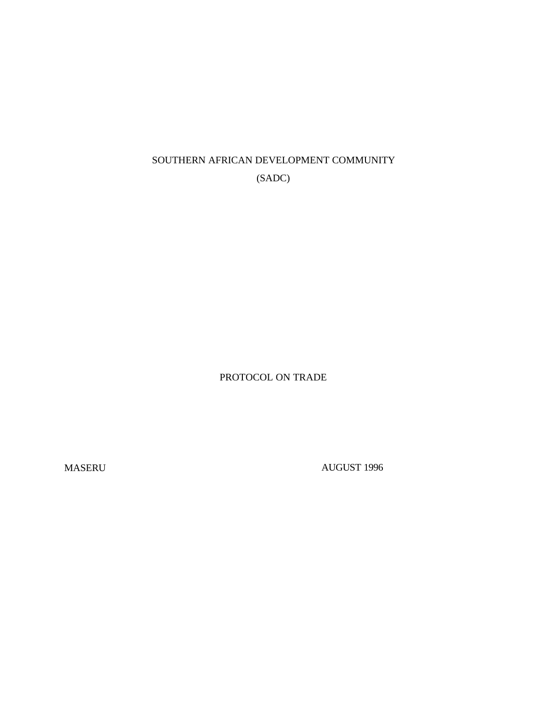# SOUTHERN AFRICAN DEVELOPMENT COMMUNITY (SADC)

PROTOCOL ON TRADE

MASERU AUGUST 1996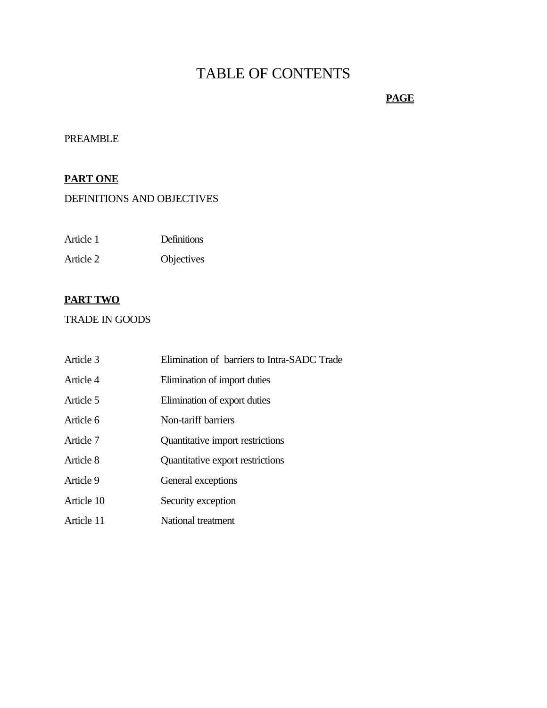# TABLE OF CONTENTS

# **PAGE**

# PREAMBLE

# **PART ONE**

# DEFINITIONS AND OBJECTIVES

| Article 1 | <b>Definitions</b> |
|-----------|--------------------|
| Article 2 | Objectives         |

# **PART TWO**

## TRADE IN GOODS

| Article 3  | Elimination of barriers to Intra-SADC Trade |
|------------|---------------------------------------------|
| Article 4  | Elimination of import duties                |
| Article 5  | Elimination of export duties                |
| Article 6  | Non-tariff barriers                         |
| Article 7  | Quantitative import restrictions            |
| Article 8  | Quantitative export restrictions            |
| Article 9  | General exceptions                          |
| Article 10 | Security exception                          |
| Article 11 | National treatment                          |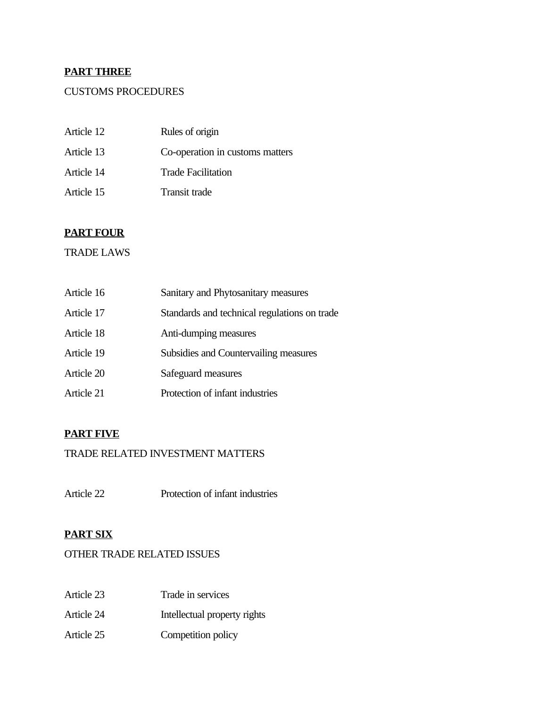# **PART THREE**

# CUSTOMS PROCEDURES

| Article 12 | Rules of origin                 |
|------------|---------------------------------|
| Article 13 | Co-operation in customs matters |
| Article 14 | Trade Facilitation              |
| Article 15 | Transit trade                   |

# **PART FOUR**

## TRADE LAWS

| Article 16 | Sanitary and Phytosanitary measures          |
|------------|----------------------------------------------|
| Article 17 | Standards and technical regulations on trade |
| Article 18 | Anti-dumping measures                        |
| Article 19 | Subsidies and Countervailing measures        |
| Article 20 | Safeguard measures                           |
| Article 21 | Protection of infant industries              |

# **PART FIVE**

# TRADE RELATED INVESTMENT MATTERS

Article 22 Protection of infant industries

# **PART SIX**

# OTHER TRADE RELATED ISSUES

- Article 23 Trade in services
- Article 24 Intellectual property rights
- Article 25 Competition policy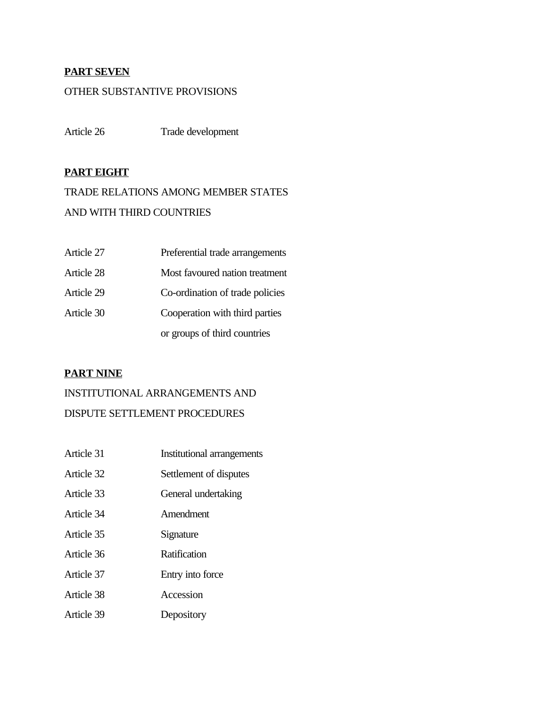## **PART SEVEN**

## OTHER SUBSTANTIVE PROVISIONS

Article 26 Trade development

## **PART EIGHT**

TRADE RELATIONS AMONG MEMBER STATES AND WITH THIRD COUNTRIES

| Article 27 | Preferential trade arrangements |
|------------|---------------------------------|
| Article 28 | Most favoured nation treatment  |
| Article 29 | Co-ordination of trade policies |
| Article 30 | Cooperation with third parties  |
|            | or groups of third countries    |

## **PART NINE**

# INSTITUTIONAL ARRANGEMENTS AND DISPUTE SETTLEMENT PROCEDURES

Article 31 **Institutional arrangements** Article 32 Settlement of disputes Article 33 General undertaking Article 34 Amendment Article 35 Signature Article 36 Ratification Article 37 Entry into force Article 38 Accession Article 39 Depository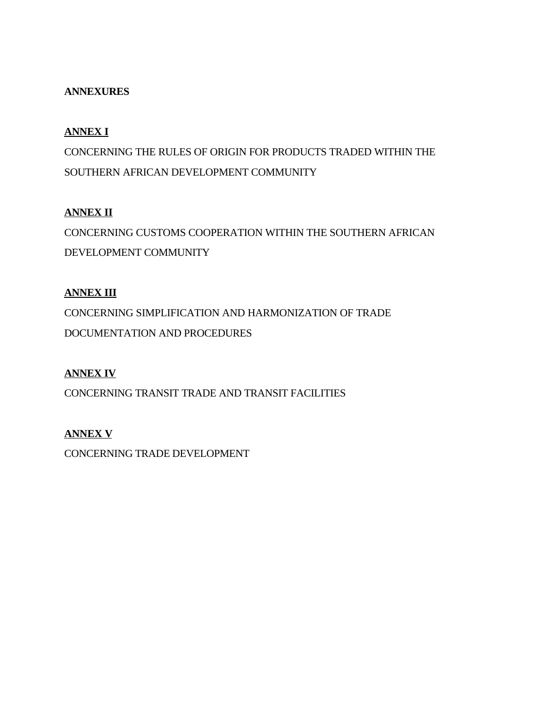# **ANNEXURES**

# **ANNEX I**

CONCERNING THE RULES OF ORIGIN FOR PRODUCTS TRADED WITHIN THE SOUTHERN AFRICAN DEVELOPMENT COMMUNITY

# **ANNEX II**

CONCERNING CUSTOMS COOPERATION WITHIN THE SOUTHERN AFRICAN DEVELOPMENT COMMUNITY

# **ANNEX III**

CONCERNING SIMPLIFICATION AND HARMONIZATION OF TRADE DOCUMENTATION AND PROCEDURES

# **ANNEX IV**

CONCERNING TRANSIT TRADE AND TRANSIT FACILITIES

# **ANNEX V**

CONCERNING TRADE DEVELOPMENT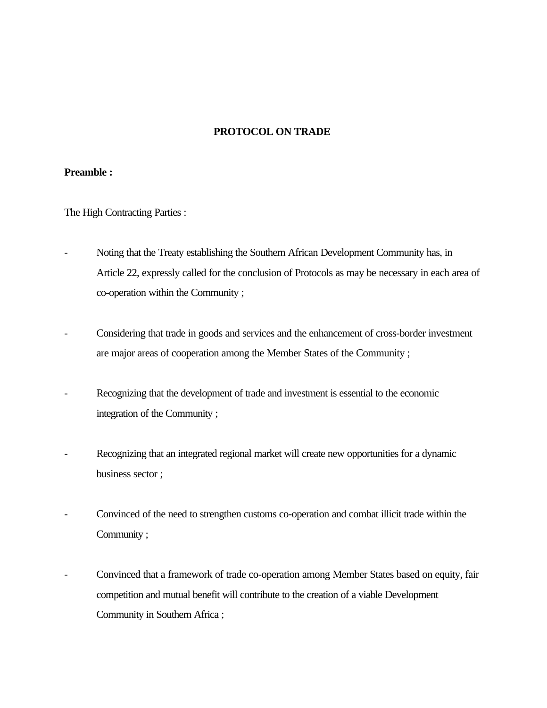## **PROTOCOL ON TRADE**

### **Preamble :**

The High Contracting Parties :

- Noting that the Treaty establishing the Southern African Development Community has, in Article 22, expressly called for the conclusion of Protocols as may be necessary in each area of co-operation within the Community ;
- Considering that trade in goods and services and the enhancement of cross-border investment are major areas of cooperation among the Member States of the Community ;
- Recognizing that the development of trade and investment is essential to the economic integration of the Community ;
- Recognizing that an integrated regional market will create new opportunities for a dynamic business sector ;
- Convinced of the need to strengthen customs co-operation and combat illicit trade within the Community ;
- Convinced that a framework of trade co-operation among Member States based on equity, fair competition and mutual benefit will contribute to the creation of a viable Development Community in Southern Africa ;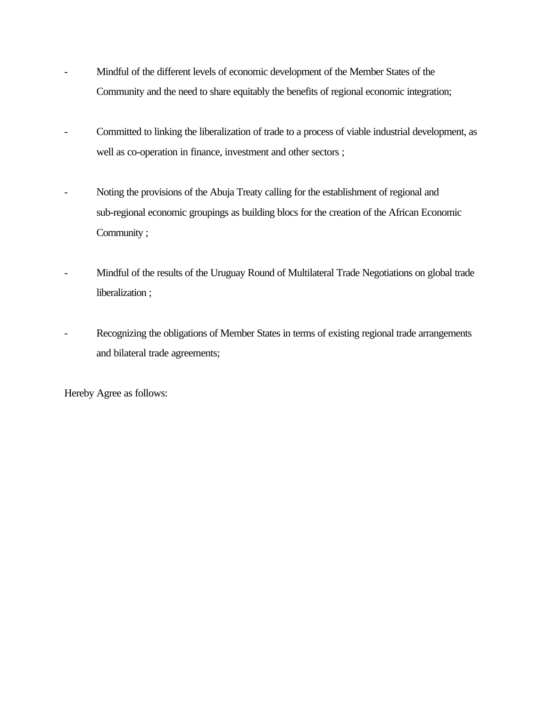- Mindful of the different levels of economic development of the Member States of the Community and the need to share equitably the benefits of regional economic integration;
- Committed to linking the liberalization of trade to a process of viable industrial development, as well as co-operation in finance, investment and other sectors ;
- Noting the provisions of the Abuja Treaty calling for the establishment of regional and sub-regional economic groupings as building blocs for the creation of the African Economic Community ;
- Mindful of the results of the Uruguay Round of Multilateral Trade Negotiations on global trade liberalization ;
- Recognizing the obligations of Member States in terms of existing regional trade arrangements and bilateral trade agreements;

Hereby Agree as follows: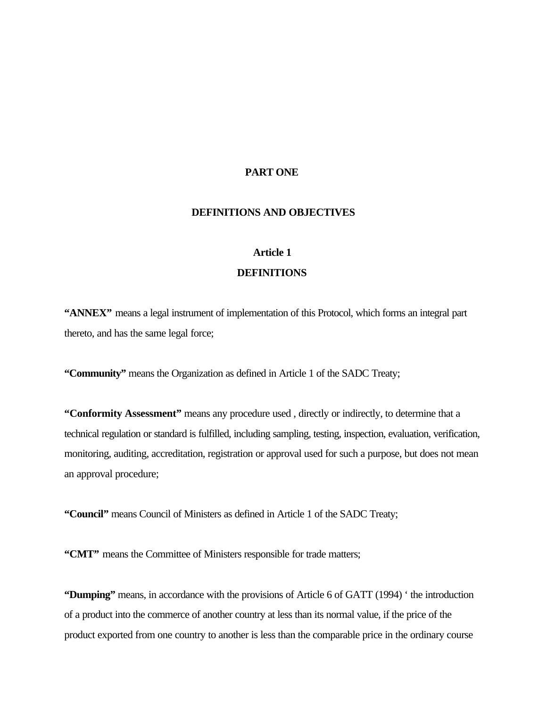### **PART ONE**

## **DEFINITIONS AND OBJECTIVES**

# **Article 1**

### **DEFINITIONS**

**"ANNEX"** means a legal instrument of implementation of this Protocol, which forms an integral part thereto, and has the same legal force;

**"Community"** means the Organization as defined in Article 1 of the SADC Treaty;

**"Conformity Assessment"** means any procedure used , directly or indirectly, to determine that a technical regulation or standard is fulfilled, including sampling, testing, inspection, evaluation, verification, monitoring, auditing, accreditation, registration or approval used for such a purpose, but does not mean an approval procedure;

**"Council"** means Council of Ministers as defined in Article 1 of the SADC Treaty;

**"CMT"** means the Committee of Ministers responsible for trade matters;

**"Dumping"** means, in accordance with the provisions of Article 6 of GATT (1994) ' the introduction of a product into the commerce of another country at less than its normal value, if the price of the product exported from one country to another is less than the comparable price in the ordinary course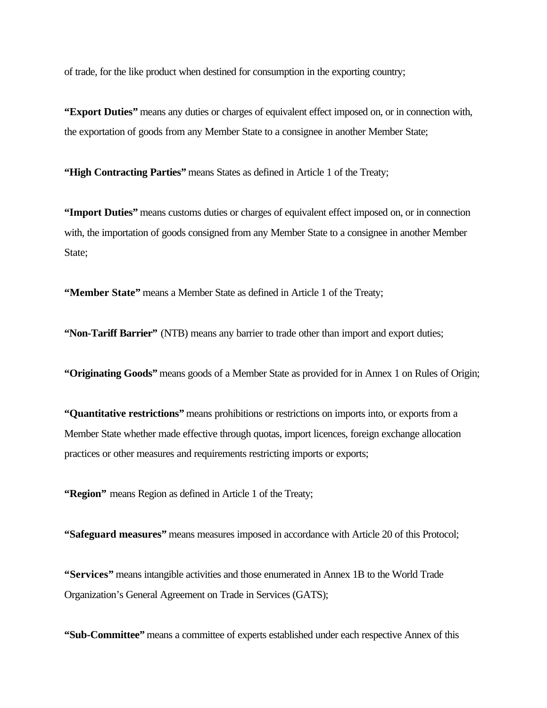of trade, for the like product when destined for consumption in the exporting country;

**"Export Duties"** means any duties or charges of equivalent effect imposed on, or in connection with, the exportation of goods from any Member State to a consignee in another Member State;

**"High Contracting Parties"** means States as defined in Article 1 of the Treaty;

**"Import Duties"** means customs duties or charges of equivalent effect imposed on, or in connection with, the importation of goods consigned from any Member State to a consignee in another Member State:

**"Member State"** means a Member State as defined in Article 1 of the Treaty;

**"Non-Tariff Barrier"** (NTB) means any barrier to trade other than import and export duties;

**"Originating Goods"** means goods of a Member State as provided for in Annex 1 on Rules of Origin;

**"Quantitative restrictions"** means prohibitions or restrictions on imports into, or exports from a Member State whether made effective through quotas, import licences, foreign exchange allocation practices or other measures and requirements restricting imports or exports;

**"Region"** means Region as defined in Article 1 of the Treaty;

**"Safeguard measures"** means measures imposed in accordance with Article 20 of this Protocol;

**"Services"** means intangible activities and those enumerated in Annex 1B to the World Trade Organization's General Agreement on Trade in Services (GATS);

**"Sub-Committee"** means a committee of experts established under each respective Annex of this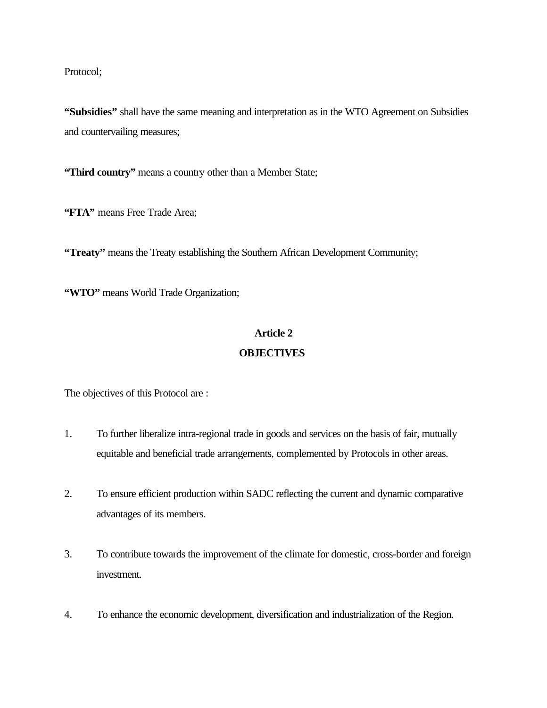Protocol;

**"Subsidies"** shall have the same meaning and interpretation as in the WTO Agreement on Subsidies and countervailing measures;

**"Third country"** means a country other than a Member State;

**"FTA"** means Free Trade Area;

**"Treaty"** means the Treaty establishing the Southern African Development Community;

**"WTO"** means World Trade Organization;

#### **Article 2**

#### **OBJECTIVES**

The objectives of this Protocol are :

- 1. To further liberalize intra-regional trade in goods and services on the basis of fair, mutually equitable and beneficial trade arrangements, complemented by Protocols in other areas.
- 2. To ensure efficient production within SADC reflecting the current and dynamic comparative advantages of its members.
- 3. To contribute towards the improvement of the climate for domestic, cross-border and foreign investment.
- 4. To enhance the economic development, diversification and industrialization of the Region.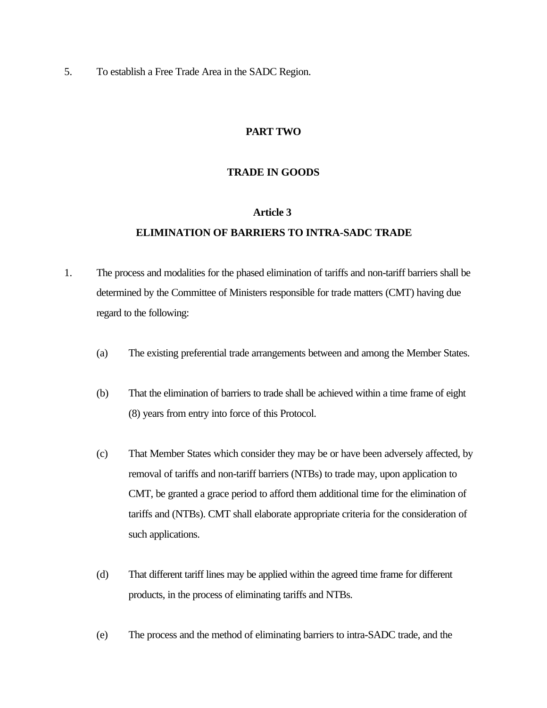5. To establish a Free Trade Area in the SADC Region.

### **PART TWO**

### **TRADE IN GOODS**

#### **Article 3**

## **ELIMINATION OF BARRIERS TO INTRA-SADC TRADE**

- 1. The process and modalities for the phased elimination of tariffs and non-tariff barriers shall be determined by the Committee of Ministers responsible for trade matters (CMT) having due regard to the following:
	- (a) The existing preferential trade arrangements between and among the Member States.
	- (b) That the elimination of barriers to trade shall be achieved within a time frame of eight (8) years from entry into force of this Protocol.
	- (c) That Member States which consider they may be or have been adversely affected, by removal of tariffs and non-tariff barriers (NTBs) to trade may, upon application to CMT, be granted a grace period to afford them additional time for the elimination of tariffs and (NTBs). CMT shall elaborate appropriate criteria for the consideration of such applications.
	- (d) That different tariff lines may be applied within the agreed time frame for different products, in the process of eliminating tariffs and NTBs.
	- (e) The process and the method of eliminating barriers to intra-SADC trade, and the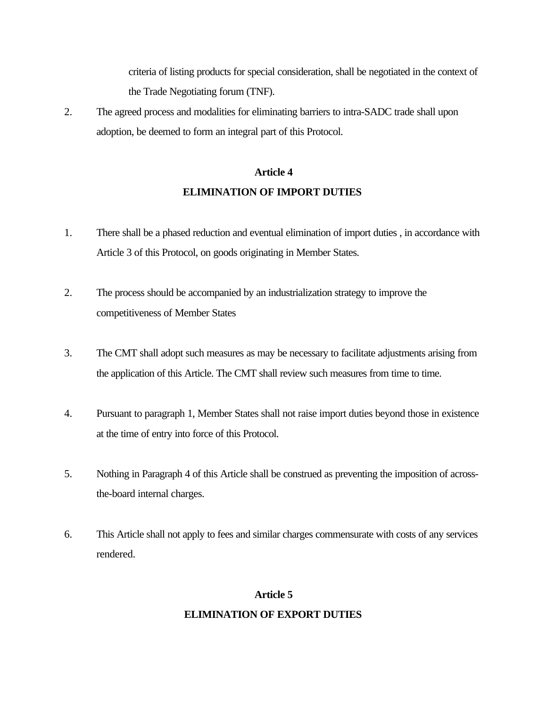criteria of listing products for special consideration, shall be negotiated in the context of the Trade Negotiating forum (TNF).

2. The agreed process and modalities for eliminating barriers to intra-SADC trade shall upon adoption, be deemed to form an integral part of this Protocol.

# **Article 4 ELIMINATION OF IMPORT DUTIES**

- 1. There shall be a phased reduction and eventual elimination of import duties, in accordance with Article 3 of this Protocol, on goods originating in Member States.
- 2. The process should be accompanied by an industrialization strategy to improve the competitiveness of Member States
- 3. The CMT shall adopt such measures as may be necessary to facilitate adjustments arising from the application of this Article. The CMT shall review such measures from time to time.
- 4. Pursuant to paragraph 1, Member States shall not raise import duties beyond those in existence at the time of entry into force of this Protocol.
- 5. Nothing in Paragraph 4 of this Article shall be construed as preventing the imposition of acrossthe-board internal charges.
- 6. This Article shall not apply to fees and similar charges commensurate with costs of any services rendered.

## **Article 5**

## **ELIMINATION OF EXPORT DUTIES**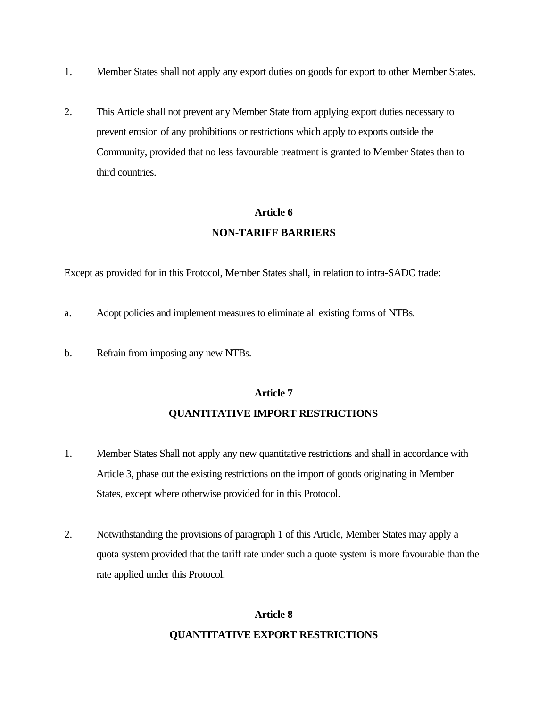- 1. Member States shall not apply any export duties on goods for export to other Member States.
- 2. This Article shall not prevent any Member State from applying export duties necessary to prevent erosion of any prohibitions or restrictions which apply to exports outside the Community, provided that no less favourable treatment is granted to Member States than to third countries.

# **Article 6 NON-TARIFF BARRIERS**

Except as provided for in this Protocol, Member States shall, in relation to intra-SADC trade:

- a. Adopt policies and implement measures to eliminate all existing forms of NTBs.
- b. Refrain from imposing any new NTBs.

## **Article 7**

## **QUANTITATIVE IMPORT RESTRICTIONS**

- 1. Member States Shall not apply any new quantitative restrictions and shall in accordance with Article 3, phase out the existing restrictions on the import of goods originating in Member States, except where otherwise provided for in this Protocol.
- 2. Notwithstanding the provisions of paragraph 1 of this Article, Member States may apply a quota system provided that the tariff rate under such a quote system is more favourable than the rate applied under this Protocol.

# **Article 8 QUANTITATIVE EXPORT RESTRICTIONS**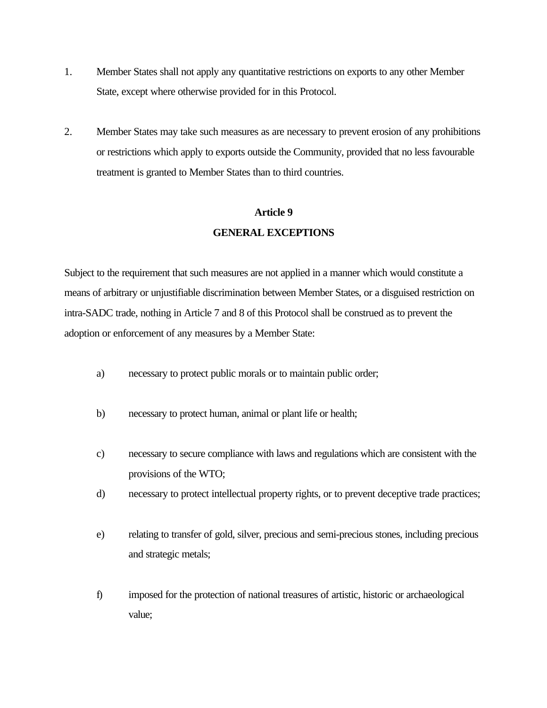- 1. Member States shall not apply any quantitative restrictions on exports to any other Member State, except where otherwise provided for in this Protocol.
- 2. Member States may take such measures as are necessary to prevent erosion of any prohibitions or restrictions which apply to exports outside the Community, provided that no less favourable treatment is granted to Member States than to third countries.

# **Article 9 GENERAL EXCEPTIONS**

Subject to the requirement that such measures are not applied in a manner which would constitute a means of arbitrary or unjustifiable discrimination between Member States, or a disguised restriction on intra-SADC trade, nothing in Article 7 and 8 of this Protocol shall be construed as to prevent the adoption or enforcement of any measures by a Member State:

- a) necessary to protect public morals or to maintain public order;
- b) necessary to protect human, animal or plant life or health;
- c) necessary to secure compliance with laws and regulations which are consistent with the provisions of the WTO;
- d) necessary to protect intellectual property rights, or to prevent deceptive trade practices;
- e) relating to transfer of gold, silver, precious and semi-precious stones, including precious and strategic metals;
- f) imposed for the protection of national treasures of artistic, historic or archaeological value;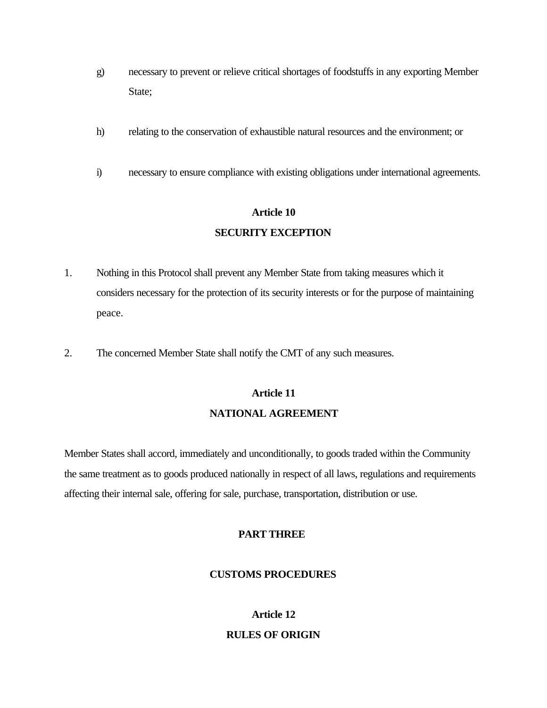- g) necessary to prevent or relieve critical shortages of foodstuffs in any exporting Member State;
- h) relating to the conservation of exhaustible natural resources and the environment; or
- i) necessary to ensure compliance with existing obligations under international agreements.

## **Article 10**

## **SECURITY EXCEPTION**

- 1. Nothing in this Protocol shall prevent any Member State from taking measures which it considers necessary for the protection of its security interests or for the purpose of maintaining peace.
- 2. The concerned Member State shall notify the CMT of any such measures.

# **Article 11 NATIONAL AGREEMENT**

Member States shall accord, immediately and unconditionally, to goods traded within the Community the same treatment as to goods produced nationally in respect of all laws, regulations and requirements affecting their internal sale, offering for sale, purchase, transportation, distribution or use.

#### **PART THREE**

### **CUSTOMS PROCEDURES**

# **Article 12 RULES OF ORIGIN**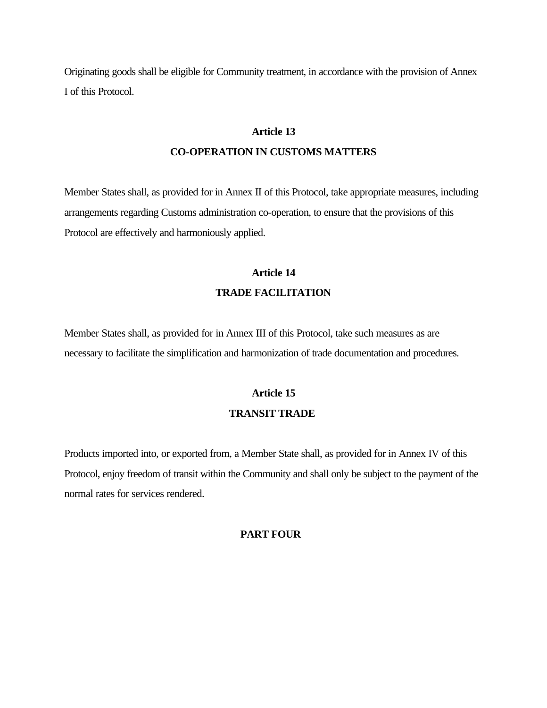Originating goods shall be eligible for Community treatment, in accordance with the provision of Annex I of this Protocol.

#### **Article 13**

#### **CO-OPERATION IN CUSTOMS MATTERS**

Member States shall, as provided for in Annex II of this Protocol, take appropriate measures, including arrangements regarding Customs administration co-operation, to ensure that the provisions of this Protocol are effectively and harmoniously applied.

# **Article 14 TRADE FACILITATION**

Member States shall, as provided for in Annex III of this Protocol, take such measures as are necessary to facilitate the simplification and harmonization of trade documentation and procedures.

# **Article 15 TRANSIT TRADE**

Products imported into, or exported from, a Member State shall, as provided for in Annex IV of this Protocol, enjoy freedom of transit within the Community and shall only be subject to the payment of the normal rates for services rendered.

### **PART FOUR**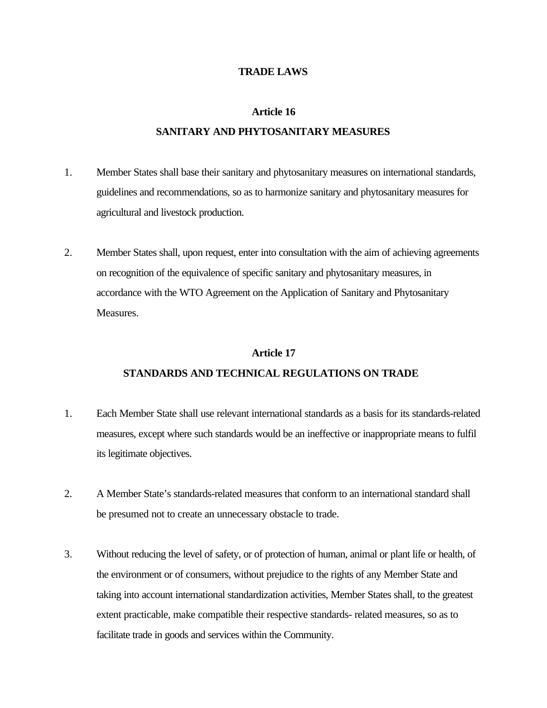#### **TRADE LAWS**

#### **Article 16**

#### **SANITARY AND PHYTOSANITARY MEASURES**

- 1. Member States shall base their sanitary and phytosanitary measures on international standards, guidelines and recommendations, so as to harmonize sanitary and phytosanitary measures for agricultural and livestock production.
- 2. Member States shall, upon request, enter into consultation with the aim of achieving agreements on recognition of the equivalence of specific sanitary and phytosanitary measures, in accordance with the WTO Agreement on the Application of Sanitary and Phytosanitary Measures.

#### **Article 17**

# **STANDARDS AND TECHNICAL REGULATIONS ON TRADE**

- 1. Each Member State shall use relevant international standards as a basis for its standards-related measures, except where such standards would be an ineffective or inappropriate means to fulfil its legitimate objectives.
- 2. A Member State's standards-related measures that conform to an international standard shall be presumed not to create an unnecessary obstacle to trade.
- 3. Without reducing the level of safety, or of protection of human, animal or plant life or health, of the environment or of consumers, without prejudice to the rights of any Member State and taking into account international standardization activities, Member States shall, to the greatest extent practicable, make compatible their respective standards- related measures, so as to facilitate trade in goods and services within the Community.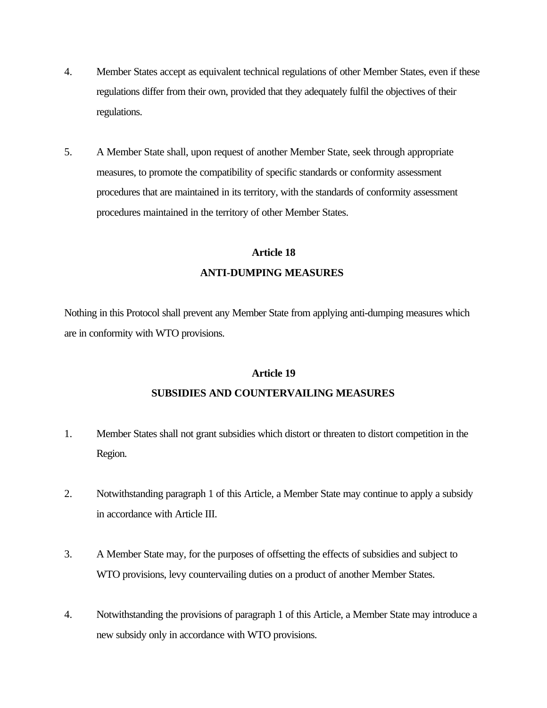- 4. Member States accept as equivalent technical regulations of other Member States, even if these regulations differ from their own, provided that they adequately fulfil the objectives of their regulations.
- 5. A Member State shall, upon request of another Member State, seek through appropriate measures, to promote the compatibility of specific standards or conformity assessment procedures that are maintained in its territory, with the standards of conformity assessment procedures maintained in the territory of other Member States.

# **Article 18 ANTI-DUMPING MEASURES**

Nothing in this Protocol shall prevent any Member State from applying anti-dumping measures which are in conformity with WTO provisions.

#### **Article 19**

### **SUBSIDIES AND COUNTERVAILING MEASURES**

- 1. Member States shall not grant subsidies which distort or threaten to distort competition in the Region.
- 2. Notwithstanding paragraph 1 of this Article, a Member State may continue to apply a subsidy in accordance with Article III.
- 3. A Member State may, for the purposes of offsetting the effects of subsidies and subject to WTO provisions, levy countervailing duties on a product of another Member States.
- 4. Notwithstanding the provisions of paragraph 1 of this Article, a Member State may introduce a new subsidy only in accordance with WTO provisions.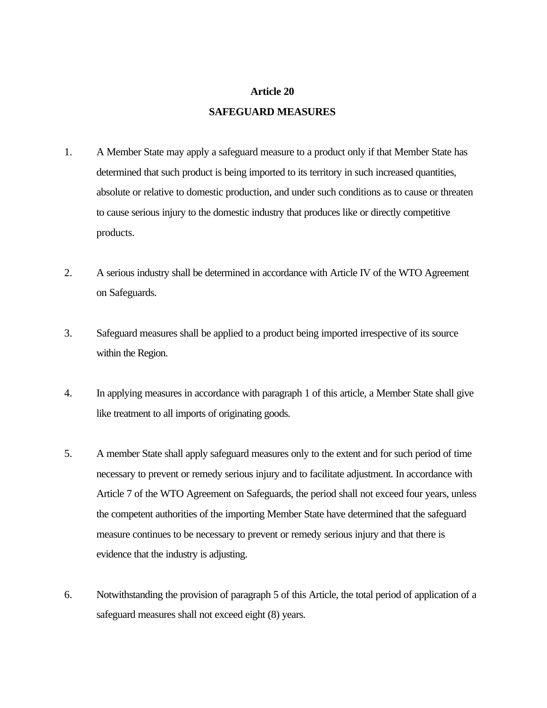#### **Article 20**

#### **SAFEGUARD MEASURES**

- 1. A Member State may apply a safeguard measure to a product only if that Member State has determined that such product is being imported to its territory in such increased quantities, absolute or relative to domestic production, and under such conditions as to cause or threaten to cause serious injury to the domestic industry that produces like or directly competitive products.
- 2. A serious industry shall be determined in accordance with Article IV of the WTO Agreement on Safeguards.
- 3. Safeguard measures shall be applied to a product being imported irrespective of its source within the Region.
- 4. In applying measures in accordance with paragraph 1 of this article, a Member State shall give like treatment to all imports of originating goods.
- 5. A member State shall apply safeguard measures only to the extent and for such period of time necessary to prevent or remedy serious injury and to facilitate adjustment. In accordance with Article 7 of the WTO Agreement on Safeguards, the period shall not exceed four years, unless the competent authorities of the importing Member State have determined that the safeguard measure continues to be necessary to prevent or remedy serious injury and that there is evidence that the industry is adjusting.
- 6. Notwithstanding the provision of paragraph 5 of this Article, the total period of application of a safeguard measures shall not exceed eight (8) years.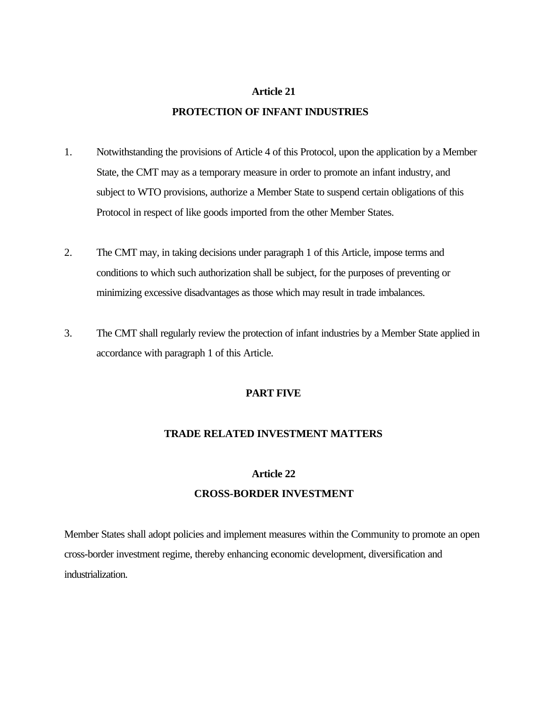#### **Article 21**

#### **PROTECTION OF INFANT INDUSTRIES**

- 1. Notwithstanding the provisions of Article 4 of this Protocol, upon the application by a Member State, the CMT may as a temporary measure in order to promote an infant industry, and subject to WTO provisions, authorize a Member State to suspend certain obligations of this Protocol in respect of like goods imported from the other Member States.
- 2. The CMT may, in taking decisions under paragraph 1 of this Article, impose terms and conditions to which such authorization shall be subject, for the purposes of preventing or minimizing excessive disadvantages as those which may result in trade imbalances.
- 3. The CMT shall regularly review the protection of infant industries by a Member State applied in accordance with paragraph 1 of this Article.

## **PART FIVE**

#### **TRADE RELATED INVESTMENT MATTERS**

### **Article 22**

# **CROSS-BORDER INVESTMENT**

Member States shall adopt policies and implement measures within the Community to promote an open cross-border investment regime, thereby enhancing economic development, diversification and industrialization.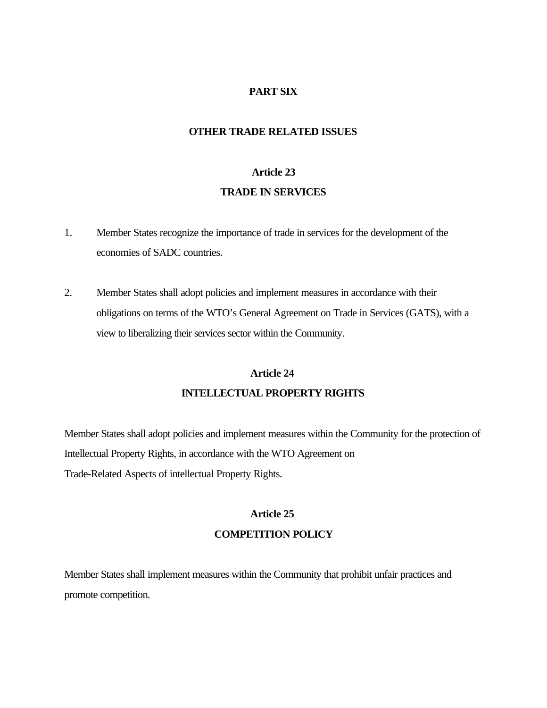## **PART SIX**

#### **OTHER TRADE RELATED ISSUES**

#### **Article 23**

### **TRADE IN SERVICES**

- 1. Member States recognize the importance of trade in services for the development of the economies of SADC countries.
- 2. Member States shall adopt policies and implement measures in accordance with their obligations on terms of the WTO's General Agreement on Trade in Services (GATS), with a view to liberalizing their services sector within the Community.

#### **Article 24**

#### **INTELLECTUAL PROPERTY RIGHTS**

Member States shall adopt policies and implement measures within the Community for the protection of Intellectual Property Rights, in accordance with the WTO Agreement on Trade-Related Aspects of intellectual Property Rights.

# **Article 25 COMPETITION POLICY**

Member States shall implement measures within the Community that prohibit unfair practices and promote competition.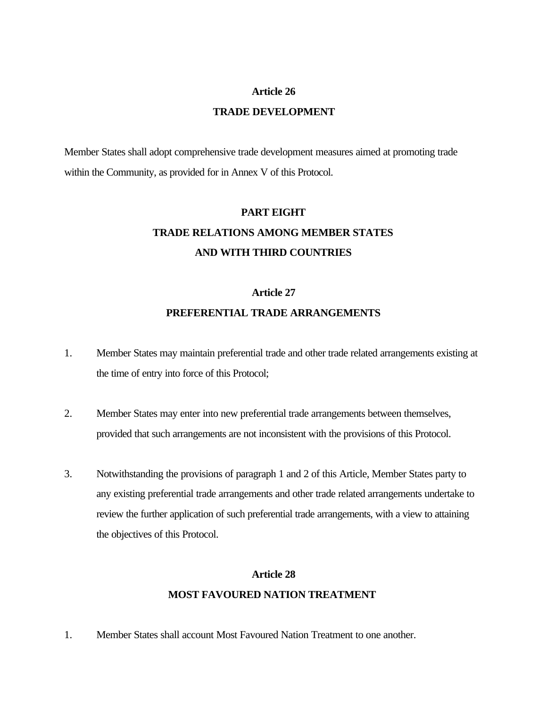#### **Article 26**

#### **TRADE DEVELOPMENT**

Member States shall adopt comprehensive trade development measures aimed at promoting trade within the Community, as provided for in Annex V of this Protocol.

# **PART EIGHT TRADE RELATIONS AMONG MEMBER STATES AND WITH THIRD COUNTRIES**

#### **Article 27**

## **PREFERENTIAL TRADE ARRANGEMENTS**

- 1. Member States may maintain preferential trade and other trade related arrangements existing at the time of entry into force of this Protocol;
- 2. Member States may enter into new preferential trade arrangements between themselves, provided that such arrangements are not inconsistent with the provisions of this Protocol.
- 3. Notwithstanding the provisions of paragraph 1 and 2 of this Article, Member States party to any existing preferential trade arrangements and other trade related arrangements undertake to review the further application of such preferential trade arrangements, with a view to attaining the objectives of this Protocol.

# **Article 28 MOST FAVOURED NATION TREATMENT**

1. Member States shall account Most Favoured Nation Treatment to one another.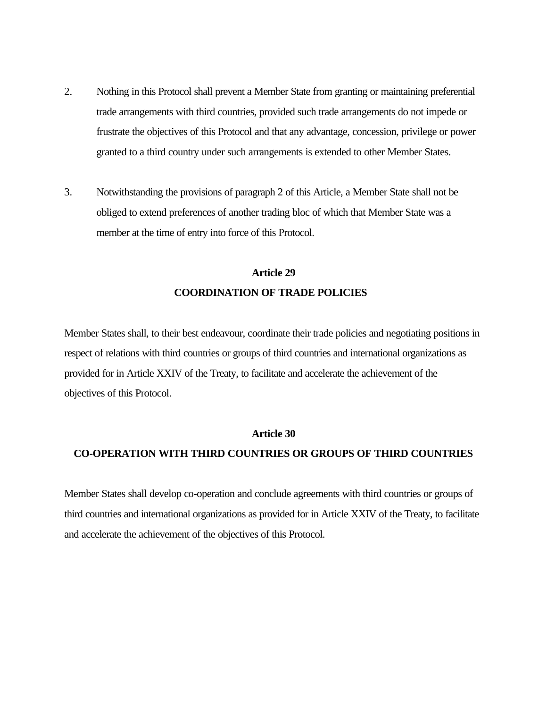- 2. Nothing in this Protocol shall prevent a Member State from granting or maintaining preferential trade arrangements with third countries, provided such trade arrangements do not impede or frustrate the objectives of this Protocol and that any advantage, concession, privilege or power granted to a third country under such arrangements is extended to other Member States.
- 3. Notwithstanding the provisions of paragraph 2 of this Article, a Member State shall not be obliged to extend preferences of another trading bloc of which that Member State was a member at the time of entry into force of this Protocol.

# **COORDINATION OF TRADE POLICIES Article 29**

Member States shall, to their best endeavour, coordinate their trade policies and negotiating positions in respect of relations with third countries or groups of third countries and international organizations as provided for in Article XXIV of the Treaty, to facilitate and accelerate the achievement of the objectives of this Protocol.

#### **Article 30**

#### **CO-OPERATION WITH THIRD COUNTRIES OR GROUPS OF THIRD COUNTRIES**

Member States shall develop co-operation and conclude agreements with third countries or groups of third countries and international organizations as provided for in Article XXIV of the Treaty, to facilitate and accelerate the achievement of the objectives of this Protocol.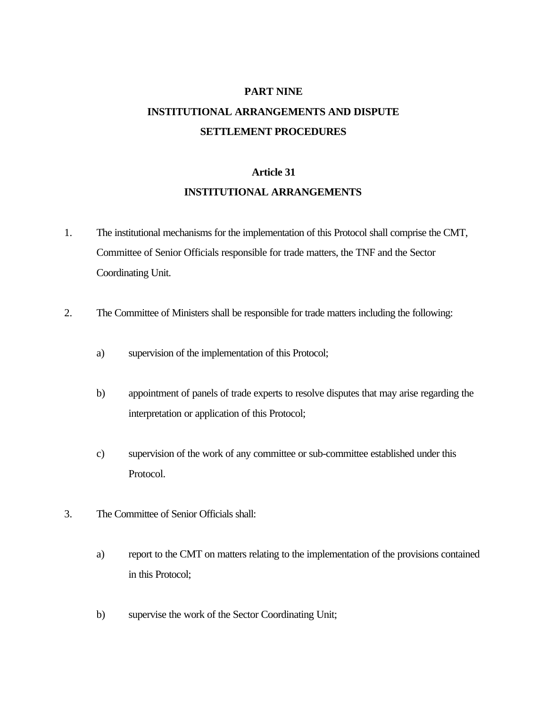# **PART NINE INSTITUTIONAL ARRANGEMENTS AND DISPUTE SETTLEMENT PROCEDURES**

## **Article 31**

## **INSTITUTIONAL ARRANGEMENTS**

- 1. The institutional mechanisms for the implementation of this Protocol shall comprise the CMT, Committee of Senior Officials responsible for trade matters, the TNF and the Sector Coordinating Unit.
- 2. The Committee of Ministers shall be responsible for trade matters including the following:
	- a) supervision of the implementation of this Protocol;
	- b) appointment of panels of trade experts to resolve disputes that may arise regarding the interpretation or application of this Protocol;
	- c) supervision of the work of any committee or sub-committee established under this Protocol.
- 3. The Committee of Senior Officials shall:
	- a) report to the CMT on matters relating to the implementation of the provisions contained in this Protocol;
	- b) supervise the work of the Sector Coordinating Unit;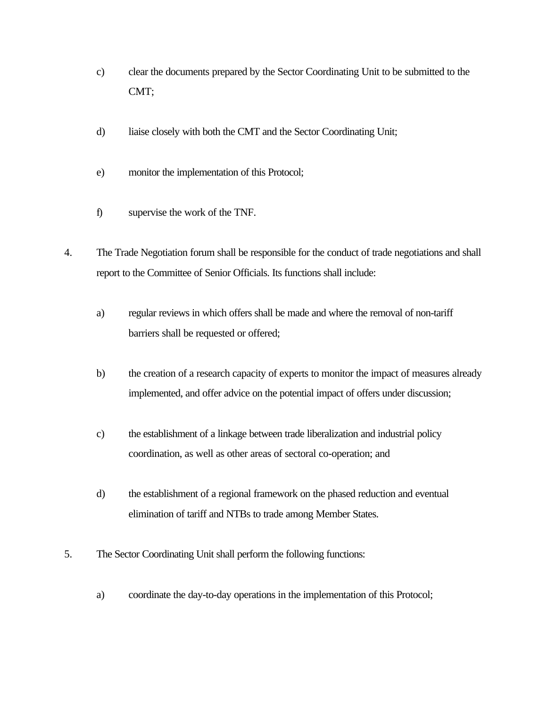- c) clear the documents prepared by the Sector Coordinating Unit to be submitted to the CMT;
- d) liaise closely with both the CMT and the Sector Coordinating Unit;
- e) monitor the implementation of this Protocol;
- f) supervise the work of the TNF.
- 4. The Trade Negotiation forum shall be responsible for the conduct of trade negotiations and shall report to the Committee of Senior Officials. Its functions shall include:
	- a) regular reviews in which offers shall be made and where the removal of non-tariff barriers shall be requested or offered;
	- b) the creation of a research capacity of experts to monitor the impact of measures already implemented, and offer advice on the potential impact of offers under discussion;
	- c) the establishment of a linkage between trade liberalization and industrial policy coordination, as well as other areas of sectoral co-operation; and
	- d) the establishment of a regional framework on the phased reduction and eventual elimination of tariff and NTBs to trade among Member States.
- 5. The Sector Coordinating Unit shall perform the following functions:
	- a) coordinate the day-to-day operations in the implementation of this Protocol;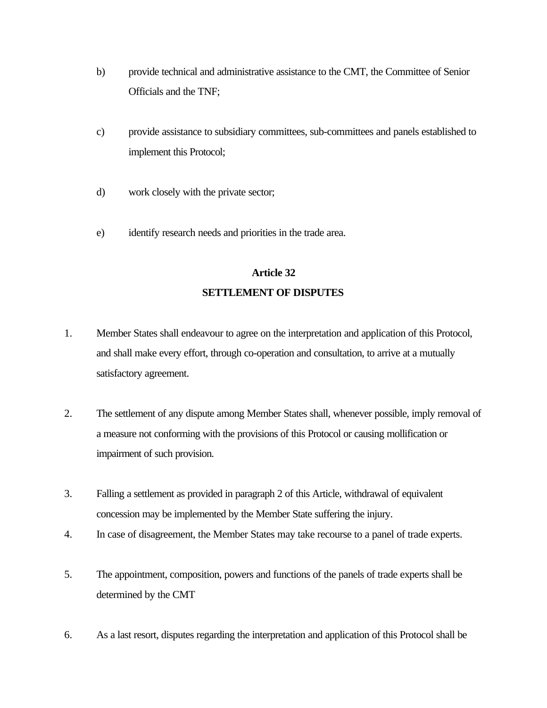- b) provide technical and administrative assistance to the CMT, the Committee of Senior Officials and the TNF;
- c) provide assistance to subsidiary committees, sub-committees and panels established to implement this Protocol;
- d) work closely with the private sector;
- e) identify research needs and priorities in the trade area.

# **Article 32**

# **SETTLEMENT OF DISPUTES**

- 1. Member States shall endeavour to agree on the interpretation and application of this Protocol, and shall make every effort, through co-operation and consultation, to arrive at a mutually satisfactory agreement.
- 2. The settlement of any dispute among Member States shall, whenever possible, imply removal of a measure not conforming with the provisions of this Protocol or causing mollification or impairment of such provision.
- 3. Falling a settlement as provided in paragraph 2 of this Article, withdrawal of equivalent concession may be implemented by the Member State suffering the injury.
- 4. In case of disagreement, the Member States may take recourse to a panel of trade experts.
- 5. The appointment, composition, powers and functions of the panels of trade experts shall be determined by the CMT
- 6. As a last resort, disputes regarding the interpretation and application of this Protocol shall be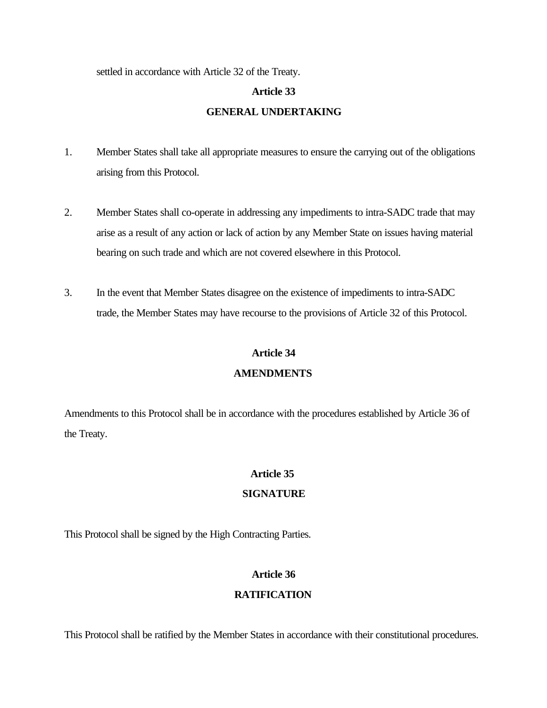settled in accordance with Article 32 of the Treaty.

# **Article 33**

## **GENERAL UNDERTAKING**

- 1. Member States shall take all appropriate measures to ensure the carrying out of the obligations arising from this Protocol.
- 2. Member States shall co-operate in addressing any impediments to intra-SADC trade that may arise as a result of any action or lack of action by any Member State on issues having material bearing on such trade and which are not covered elsewhere in this Protocol.
- 3. In the event that Member States disagree on the existence of impediments to intra-SADC trade, the Member States may have recourse to the provisions of Article 32 of this Protocol.

### **Article 34**

## **AMENDMENTS**

Amendments to this Protocol shall be in accordance with the procedures established by Article 36 of the Treaty.

## **Article 35**

## **SIGNATURE**

This Protocol shall be signed by the High Contracting Parties.

## **Article 36**

## **RATIFICATION**

This Protocol shall be ratified by the Member States in accordance with their constitutional procedures.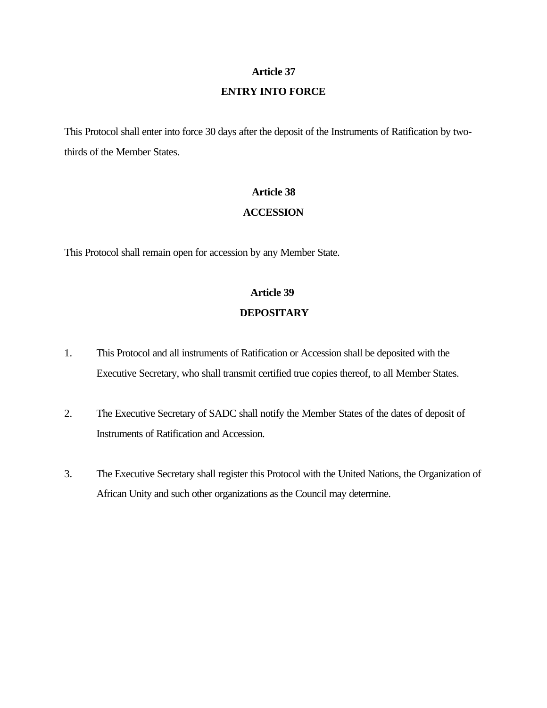## **Article 37**

### **ENTRY INTO FORCE**

This Protocol shall enter into force 30 days after the deposit of the Instruments of Ratification by twothirds of the Member States.

#### **Article 38**

### **ACCESSION**

This Protocol shall remain open for accession by any Member State.

# **Article 39 DEPOSITARY**

- 1. This Protocol and all instruments of Ratification or Accession shall be deposited with the Executive Secretary, who shall transmit certified true copies thereof, to all Member States.
- 2. The Executive Secretary of SADC shall notify the Member States of the dates of deposit of Instruments of Ratification and Accession.
- 3. The Executive Secretary shall register this Protocol with the United Nations, the Organization of African Unity and such other organizations as the Council may determine.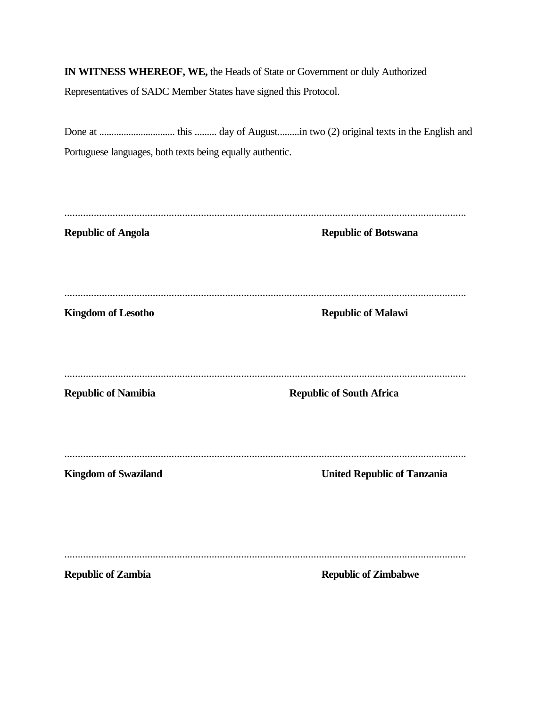**IN WITNESS WHEREOF, WE,** the Heads of State or Government or duly Authorized

Representatives of SADC Member States have signed this Protocol.

| Portuguese languages, both texts being equally authentic. |                                    |
|-----------------------------------------------------------|------------------------------------|
|                                                           |                                    |
|                                                           |                                    |
| <b>Republic of Angola</b>                                 | <b>Republic of Botswana</b>        |
|                                                           |                                    |
|                                                           |                                    |
| <b>Kingdom of Lesotho</b>                                 | <b>Republic of Malawi</b>          |
|                                                           |                                    |
|                                                           |                                    |
| <b>Republic of Namibia</b>                                | <b>Republic of South Africa</b>    |
|                                                           |                                    |
|                                                           |                                    |
| <b>Kingdom of Swaziland</b>                               | <b>United Republic of Tanzania</b> |
|                                                           |                                    |
|                                                           |                                    |
| <b>Republic of Zambia</b>                                 | <b>Republic of Zimbabwe</b>        |
|                                                           |                                    |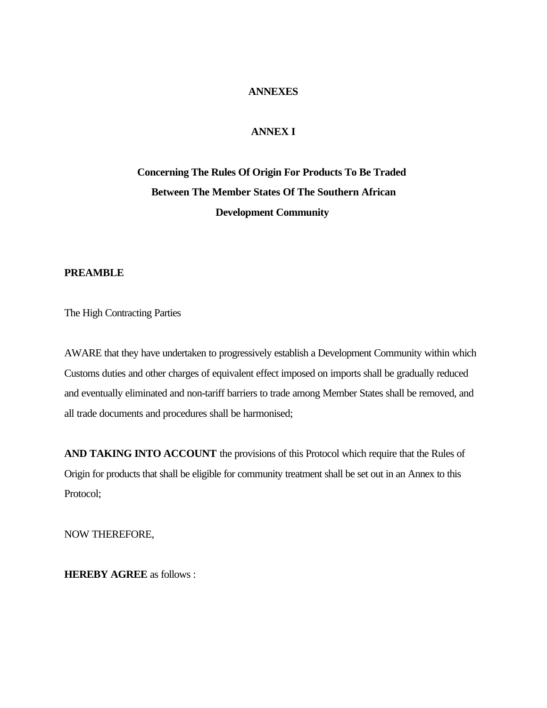#### **ANNEXES**

## **ANNEX I**

# **Concerning The Rules Of Origin For Products To Be Traded Between The Member States Of The Southern African Development Community**

## **PREAMBLE**

The High Contracting Parties

AWARE that they have undertaken to progressively establish a Development Community within which Customs duties and other charges of equivalent effect imposed on imports shall be gradually reduced and eventually eliminated and non-tariff barriers to trade among Member States shall be removed, and all trade documents and procedures shall be harmonised;

**AND TAKING INTO ACCOUNT** the provisions of this Protocol which require that the Rules of Origin for products that shall be eligible for community treatment shall be set out in an Annex to this Protocol;

NOW THEREFORE,

**HEREBY AGREE** as follows :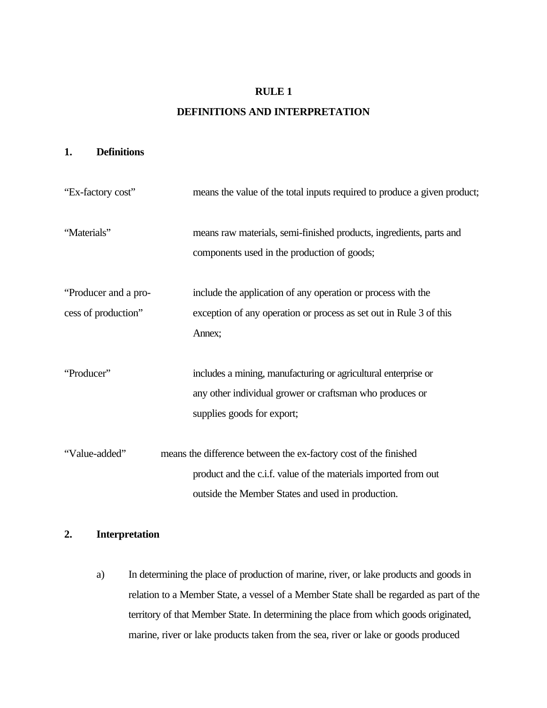### **RULE 1**

## **DEFINITIONS AND INTERPRETATION**

#### **1. Definitions**

| "Ex-factory cost"                           | means the value of the total inputs required to produce a given product;                                                                                                                 |
|---------------------------------------------|------------------------------------------------------------------------------------------------------------------------------------------------------------------------------------------|
| "Materials"                                 | means raw materials, semi-finished products, ingredients, parts and<br>components used in the production of goods;                                                                       |
| "Producer and a pro-<br>cess of production" | include the application of any operation or process with the<br>exception of any operation or process as set out in Rule 3 of this<br>Annex;                                             |
| "Producer"                                  | includes a mining, manufacturing or agricultural enterprise or<br>any other individual grower or craftsman who produces or<br>supplies goods for export;                                 |
| "Value-added"                               | means the difference between the ex-factory cost of the finished<br>product and the c.i.f. value of the materials imported from out<br>outside the Member States and used in production. |

# **2. Interpretation**

a) In determining the place of production of marine, river, or lake products and goods in relation to a Member State, a vessel of a Member State shall be regarded as part of the territory of that Member State. In determining the place from which goods originated, marine, river or lake products taken from the sea, river or lake or goods produced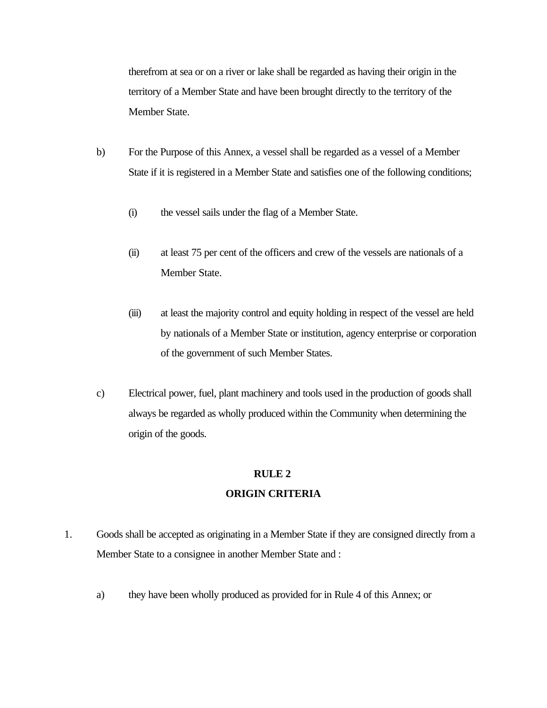therefrom at sea or on a river or lake shall be regarded as having their origin in the territory of a Member State and have been brought directly to the territory of the Member State.

- b) For the Purpose of this Annex, a vessel shall be regarded as a vessel of a Member State if it is registered in a Member State and satisfies one of the following conditions;
	- (i) the vessel sails under the flag of a Member State.
	- (ii) at least 75 per cent of the officers and crew of the vessels are nationals of a Member State.
	- (iii) at least the majority control and equity holding in respect of the vessel are held by nationals of a Member State or institution, agency enterprise or corporation of the government of such Member States.
- c) Electrical power, fuel, plant machinery and tools used in the production of goods shall always be regarded as wholly produced within the Community when determining the origin of the goods.

#### **RULE 2**

## **ORIGIN CRITERIA**

- 1. Goods shall be accepted as originating in a Member State if they are consigned directly from a Member State to a consignee in another Member State and :
	- a) they have been wholly produced as provided for in Rule 4 of this Annex; or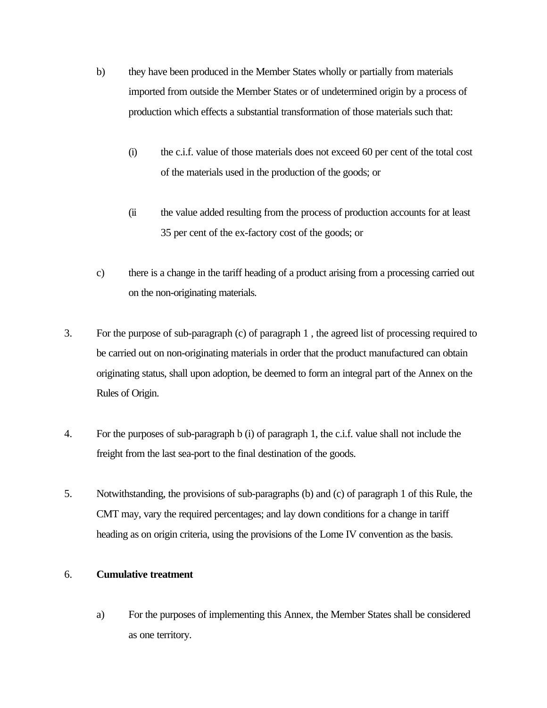- b) they have been produced in the Member States wholly or partially from materials imported from outside the Member States or of undetermined origin by a process of production which effects a substantial transformation of those materials such that:
	- (i) the c.i.f. value of those materials does not exceed 60 per cent of the total cost of the materials used in the production of the goods; or
	- (ii the value added resulting from the process of production accounts for at least 35 per cent of the ex-factory cost of the goods; or
- c) there is a change in the tariff heading of a product arising from a processing carried out on the non-originating materials.
- 3. For the purpose of sub-paragraph (c) of paragraph 1 , the agreed list of processing required to be carried out on non-originating materials in order that the product manufactured can obtain originating status, shall upon adoption, be deemed to form an integral part of the Annex on the Rules of Origin.
- 4. For the purposes of sub-paragraph b (i) of paragraph 1, the c.i.f. value shall not include the freight from the last sea-port to the final destination of the goods.
- 5. Notwithstanding, the provisions of sub-paragraphs (b) and (c) of paragraph 1 of this Rule, the CMT may, vary the required percentages; and lay down conditions for a change in tariff heading as on origin criteria, using the provisions of the Lome IV convention as the basis.

#### 6. **Cumulative treatment**

a) For the purposes of implementing this Annex, the Member States shall be considered as one territory.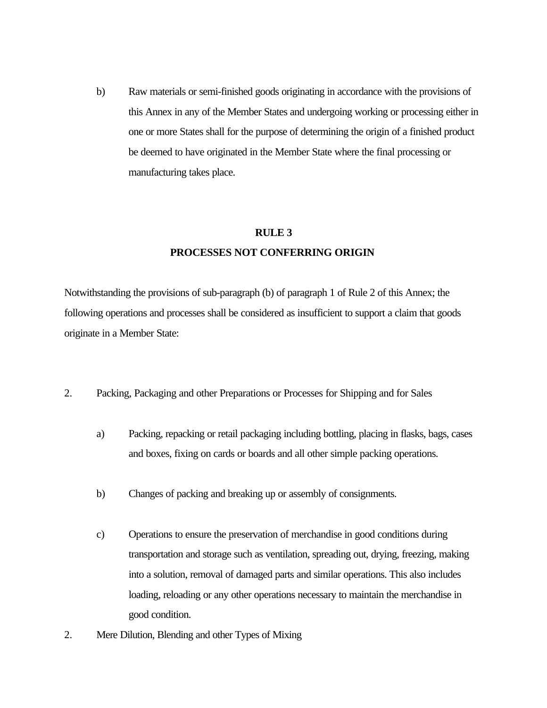b) Raw materials or semi-finished goods originating in accordance with the provisions of this Annex in any of the Member States and undergoing working or processing either in one or more States shall for the purpose of determining the origin of a finished product be deemed to have originated in the Member State where the final processing or manufacturing takes place.

#### **RULE 3**

### **PROCESSES NOT CONFERRING ORIGIN**

Notwithstanding the provisions of sub-paragraph (b) of paragraph 1 of Rule 2 of this Annex; the following operations and processes shall be considered as insufficient to support a claim that goods originate in a Member State:

- 2. Packing, Packaging and other Preparations or Processes for Shipping and for Sales
	- a) Packing, repacking or retail packaging including bottling, placing in flasks, bags, cases and boxes, fixing on cards or boards and all other simple packing operations.
	- b) Changes of packing and breaking up or assembly of consignments.
	- c) Operations to ensure the preservation of merchandise in good conditions during transportation and storage such as ventilation, spreading out, drying, freezing, making into a solution, removal of damaged parts and similar operations. This also includes loading, reloading or any other operations necessary to maintain the merchandise in good condition.
- 2. Mere Dilution, Blending and other Types of Mixing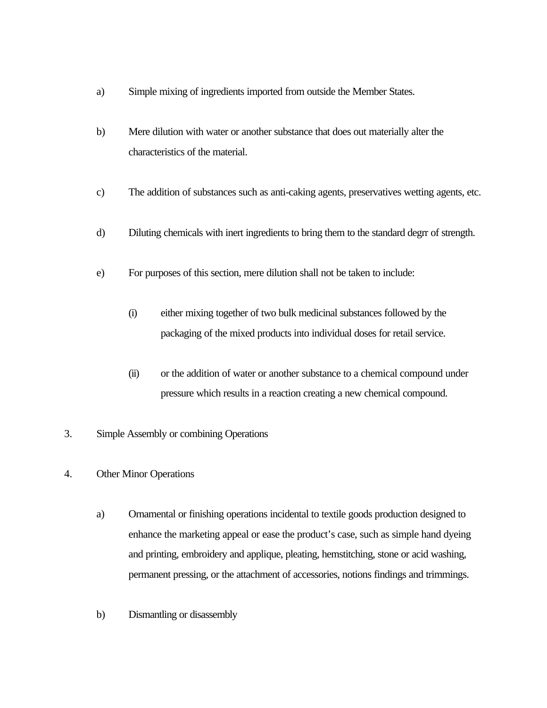- a) Simple mixing of ingredients imported from outside the Member States.
- b) Mere dilution with water or another substance that does out materially alter the characteristics of the material.
- c) The addition of substances such as anti-caking agents, preservatives wetting agents, etc.
- d) Diluting chemicals with inert ingredients to bring them to the standard degrr of strength.
- e) For purposes of this section, mere dilution shall not be taken to include:
	- (i) either mixing together of two bulk medicinal substances followed by the packaging of the mixed products into individual doses for retail service.
	- (ii) or the addition of water or another substance to a chemical compound under pressure which results in a reaction creating a new chemical compound.
- 3. Simple Assembly or combining Operations
- 4. Other Minor Operations
	- a) Ornamental or finishing operations incidental to textile goods production designed to enhance the marketing appeal or ease the product's case, such as simple hand dyeing and printing, embroidery and applique, pleating, hemstitching, stone or acid washing, permanent pressing, or the attachment of accessories, notions findings and trimmings.
	- b) Dismantling or disassembly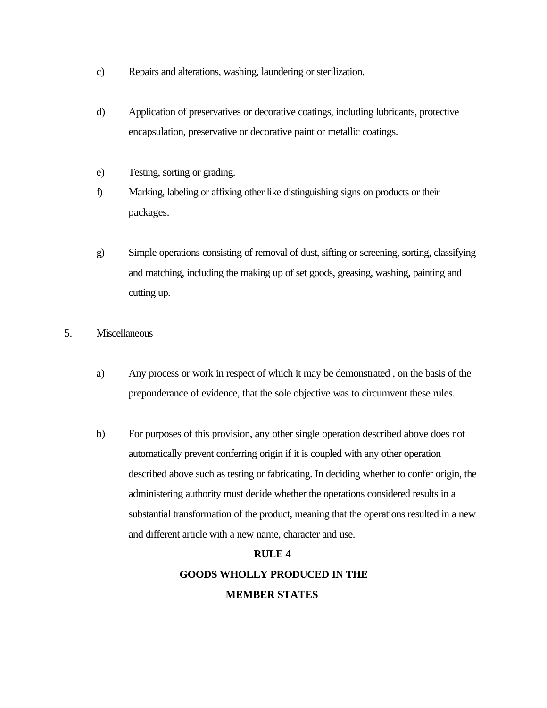- c) Repairs and alterations, washing, laundering or sterilization.
- d) Application of preservatives or decorative coatings, including lubricants, protective encapsulation, preservative or decorative paint or metallic coatings.
- e) Testing, sorting or grading.
- f) Marking, labeling or affixing other like distinguishing signs on products or their packages.
- g) Simple operations consisting of removal of dust, sifting or screening, sorting, classifying and matching, including the making up of set goods, greasing, washing, painting and cutting up.
- 5. Miscellaneous
	- a) Any process or work in respect of which it may be demonstrated, on the basis of the preponderance of evidence, that the sole objective was to circumvent these rules.
	- b) For purposes of this provision, any other single operation described above does not automatically prevent conferring origin if it is coupled with any other operation described above such as testing or fabricating. In deciding whether to confer origin, the administering authority must decide whether the operations considered results in a substantial transformation of the product, meaning that the operations resulted in a new and different article with a new name, character and use.

## **RULE 4**

**GOODS WHOLLY PRODUCED IN THE**

#### **MEMBER STATES**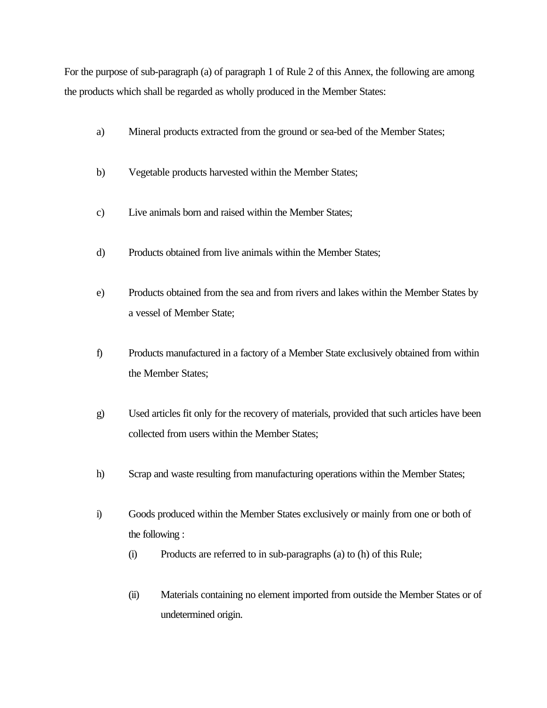For the purpose of sub-paragraph (a) of paragraph 1 of Rule 2 of this Annex, the following are among the products which shall be regarded as wholly produced in the Member States:

- a) Mineral products extracted from the ground or sea-bed of the Member States;
- b) Vegetable products harvested within the Member States;
- c) Live animals born and raised within the Member States;
- d) Products obtained from live animals within the Member States;
- e) Products obtained from the sea and from rivers and lakes within the Member States by a vessel of Member State;
- f) Products manufactured in a factory of a Member State exclusively obtained from within the Member States;
- g) Used articles fit only for the recovery of materials, provided that such articles have been collected from users within the Member States;
- h) Scrap and waste resulting from manufacturing operations within the Member States;
- i) Goods produced within the Member States exclusively or mainly from one or both of the following :
	- (i) Products are referred to in sub-paragraphs (a) to (h) of this Rule;
	- (ii) Materials containing no element imported from outside the Member States or of undetermined origin.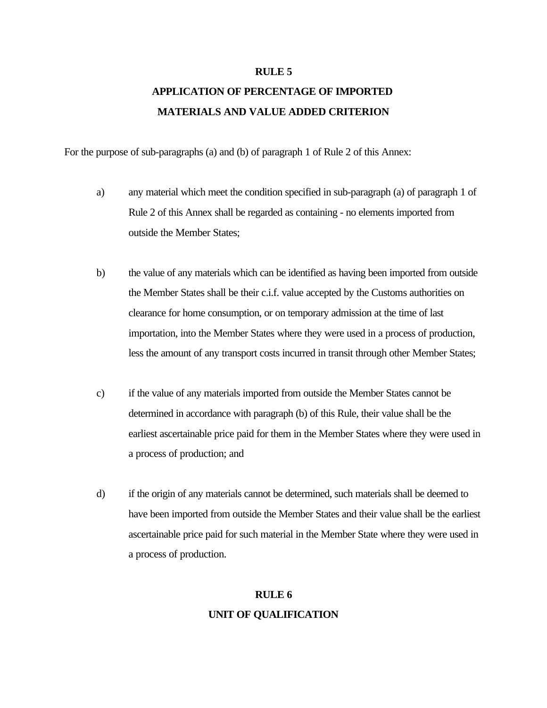#### **RULE 5**

## **APPLICATION OF PERCENTAGE OF IMPORTED MATERIALS AND VALUE ADDED CRITERION**

For the purpose of sub-paragraphs (a) and (b) of paragraph 1 of Rule 2 of this Annex:

- a) any material which meet the condition specified in sub-paragraph (a) of paragraph 1 of Rule 2 of this Annex shall be regarded as containing - no elements imported from outside the Member States;
- b) the value of any materials which can be identified as having been imported from outside the Member States shall be their c.i.f. value accepted by the Customs authorities on clearance for home consumption, or on temporary admission at the time of last importation, into the Member States where they were used in a process of production, less the amount of any transport costs incurred in transit through other Member States;
- c) if the value of any materials imported from outside the Member States cannot be determined in accordance with paragraph (b) of this Rule, their value shall be the earliest ascertainable price paid for them in the Member States where they were used in a process of production; and
- d) if the origin of any materials cannot be determined, such materials shall be deemed to have been imported from outside the Member States and their value shall be the earliest ascertainable price paid for such material in the Member State where they were used in a process of production.

# **RULE 6**

### **UNIT OF QUALIFICATION**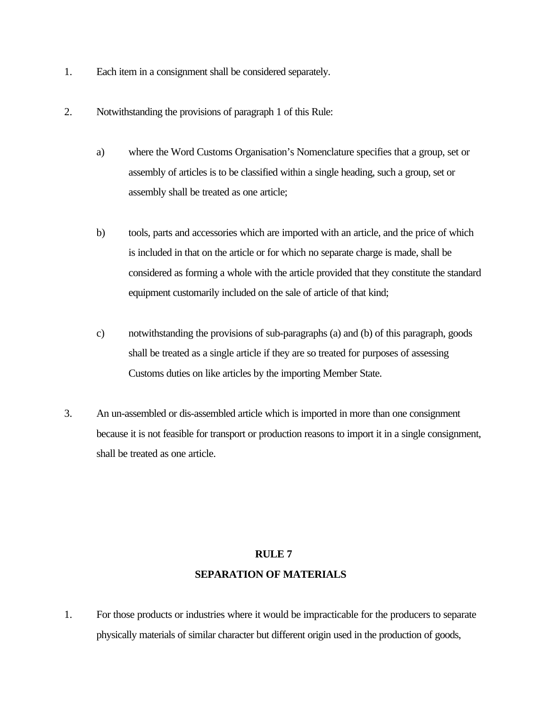- 1. Each item in a consignment shall be considered separately.
- 2. Notwithstanding the provisions of paragraph 1 of this Rule:
	- a) where the Word Customs Organisation's Nomenclature specifies that a group, set or assembly of articles is to be classified within a single heading, such a group, set or assembly shall be treated as one article;
	- b) tools, parts and accessories which are imported with an article, and the price of which is included in that on the article or for which no separate charge is made, shall be considered as forming a whole with the article provided that they constitute the standard equipment customarily included on the sale of article of that kind;
	- c) notwithstanding the provisions of sub-paragraphs (a) and (b) of this paragraph, goods shall be treated as a single article if they are so treated for purposes of assessing Customs duties on like articles by the importing Member State.
- 3. An un-assembled or dis-assembled article which is imported in more than one consignment because it is not feasible for transport or production reasons to import it in a single consignment, shall be treated as one article.

#### **RULE 7**

#### **SEPARATION OF MATERIALS**

1. For those products or industries where it would be impracticable for the producers to separate physically materials of similar character but different origin used in the production of goods,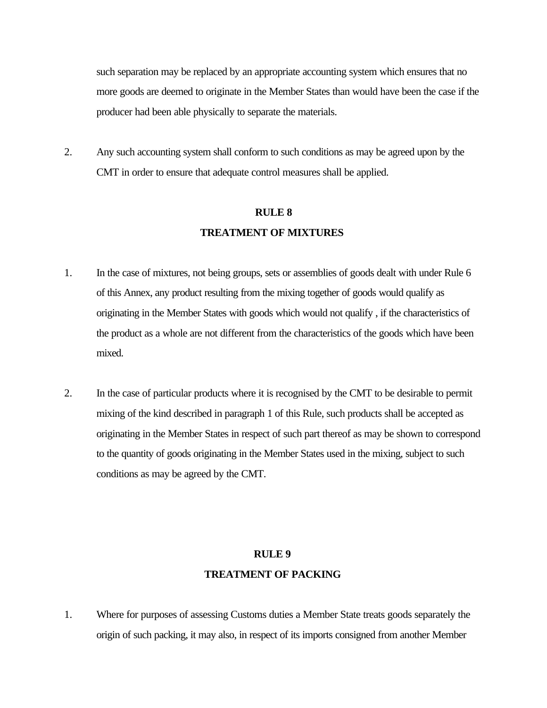such separation may be replaced by an appropriate accounting system which ensures that no more goods are deemed to originate in the Member States than would have been the case if the producer had been able physically to separate the materials.

2. Any such accounting system shall conform to such conditions as may be agreed upon by the CMT in order to ensure that adequate control measures shall be applied.

## **RULE 8 TREATMENT OF MIXTURES**

- 1. In the case of mixtures, not being groups, sets or assemblies of goods dealt with under Rule 6 of this Annex, any product resulting from the mixing together of goods would qualify as originating in the Member States with goods which would not qualify , if the characteristics of the product as a whole are not different from the characteristics of the goods which have been mixed.
- 2. In the case of particular products where it is recognised by the CMT to be desirable to permit mixing of the kind described in paragraph 1 of this Rule, such products shall be accepted as originating in the Member States in respect of such part thereof as may be shown to correspond to the quantity of goods originating in the Member States used in the mixing, subject to such conditions as may be agreed by the CMT.

#### **RULE 9**

#### **TREATMENT OF PACKING**

1. Where for purposes of assessing Customs duties a Member State treats goods separately the origin of such packing, it may also, in respect of its imports consigned from another Member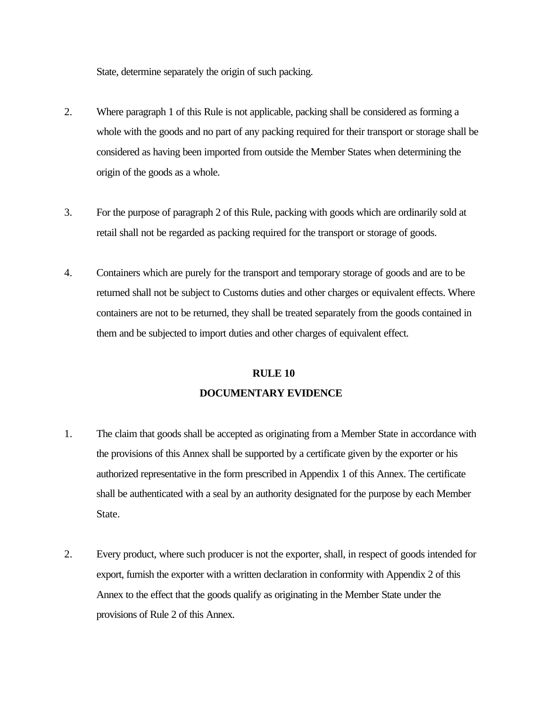State, determine separately the origin of such packing.

- 2. Where paragraph 1 of this Rule is not applicable, packing shall be considered as forming a whole with the goods and no part of any packing required for their transport or storage shall be considered as having been imported from outside the Member States when determining the origin of the goods as a whole.
- 3. For the purpose of paragraph 2 of this Rule, packing with goods which are ordinarily sold at retail shall not be regarded as packing required for the transport or storage of goods.
- 4. Containers which are purely for the transport and temporary storage of goods and are to be returned shall not be subject to Customs duties and other charges or equivalent effects. Where containers are not to be returned, they shall be treated separately from the goods contained in them and be subjected to import duties and other charges of equivalent effect.

## **DOCUMENTARY EVIDENCE RULE 10**

- 1. The claim that goods shall be accepted as originating from a Member State in accordance with the provisions of this Annex shall be supported by a certificate given by the exporter or his authorized representative in the form prescribed in Appendix 1 of this Annex. The certificate shall be authenticated with a seal by an authority designated for the purpose by each Member State.
- 2. Every product, where such producer is not the exporter, shall, in respect of goods intended for export, furnish the exporter with a written declaration in conformity with Appendix 2 of this Annex to the effect that the goods qualify as originating in the Member State under the provisions of Rule 2 of this Annex.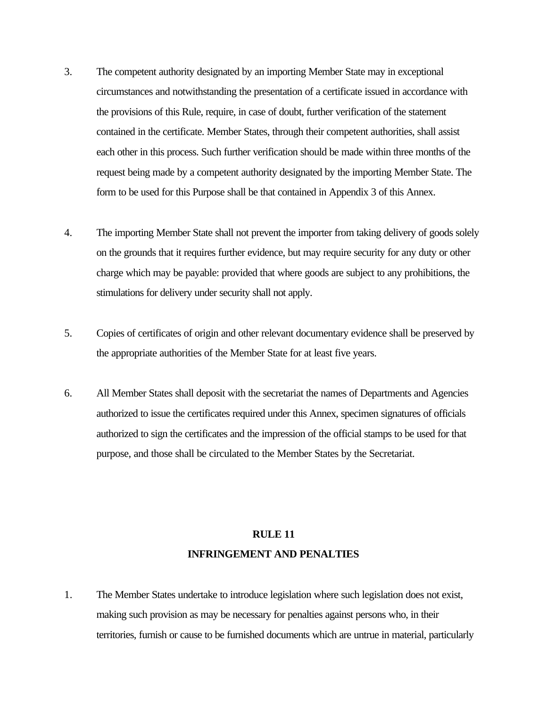- 3. The competent authority designated by an importing Member State may in exceptional circumstances and notwithstanding the presentation of a certificate issued in accordance with the provisions of this Rule, require, in case of doubt, further verification of the statement contained in the certificate. Member States, through their competent authorities, shall assist each other in this process. Such further verification should be made within three months of the request being made by a competent authority designated by the importing Member State. The form to be used for this Purpose shall be that contained in Appendix 3 of this Annex.
- 4. The importing Member State shall not prevent the importer from taking delivery of goods solely on the grounds that it requires further evidence, but may require security for any duty or other charge which may be payable: provided that where goods are subject to any prohibitions, the stimulations for delivery under security shall not apply.
- 5. Copies of certificates of origin and other relevant documentary evidence shall be preserved by the appropriate authorities of the Member State for at least five years.
- 6. All Member States shall deposit with the secretariat the names of Departments and Agencies authorized to issue the certificates required under this Annex, specimen signatures of officials authorized to sign the certificates and the impression of the official stamps to be used for that purpose, and those shall be circulated to the Member States by the Secretariat.

## **RULE 11 INFRINGEMENT AND PENALTIES**

1. The Member States undertake to introduce legislation where such legislation does not exist, making such provision as may be necessary for penalties against persons who, in their territories, furnish or cause to be furnished documents which are untrue in material, particularly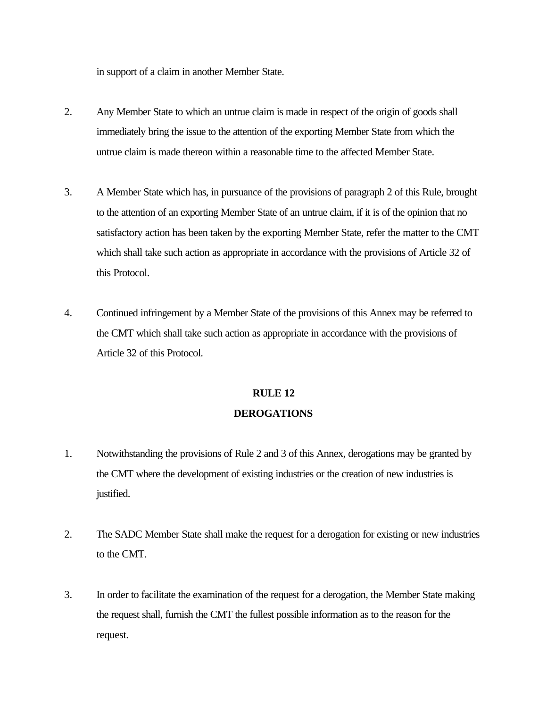in support of a claim in another Member State.

- 2. Any Member State to which an untrue claim is made in respect of the origin of goods shall immediately bring the issue to the attention of the exporting Member State from which the untrue claim is made thereon within a reasonable time to the affected Member State.
- 3. A Member State which has, in pursuance of the provisions of paragraph 2 of this Rule, brought to the attention of an exporting Member State of an untrue claim, if it is of the opinion that no satisfactory action has been taken by the exporting Member State, refer the matter to the CMT which shall take such action as appropriate in accordance with the provisions of Article 32 of this Protocol.
- 4. Continued infringement by a Member State of the provisions of this Annex may be referred to the CMT which shall take such action as appropriate in accordance with the provisions of Article 32 of this Protocol.

## **RULE 12 DEROGATIONS**

- 1. Notwithstanding the provisions of Rule 2 and 3 of this Annex, derogations may be granted by the CMT where the development of existing industries or the creation of new industries is justified.
- 2. The SADC Member State shall make the request for a derogation for existing or new industries to the CMT.
- 3. In order to facilitate the examination of the request for a derogation, the Member State making the request shall, furnish the CMT the fullest possible information as to the reason for the request.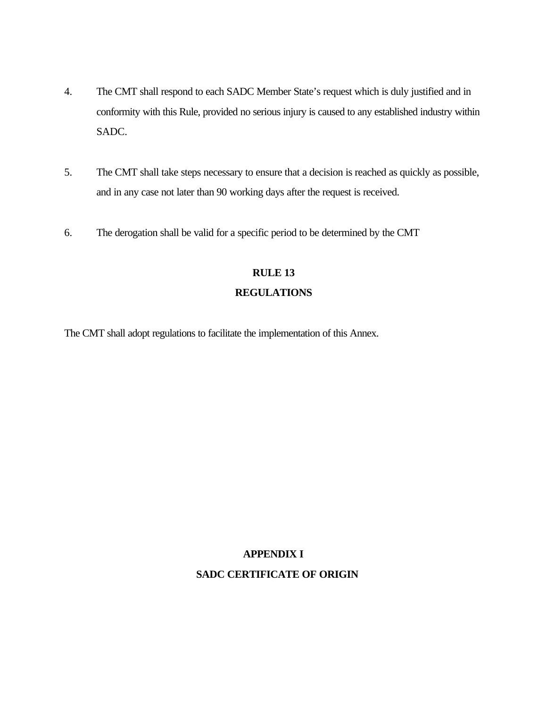- 4. The CMT shall respond to each SADC Member State's request which is duly justified and in conformity with this Rule, provided no serious injury is caused to any established industry within SADC.
- 5. The CMT shall take steps necessary to ensure that a decision is reached as quickly as possible, and in any case not later than 90 working days after the request is received.
- 6. The derogation shall be valid for a specific period to be determined by the CMT

# **RULE 13**

## **REGULATIONS**

The CMT shall adopt regulations to facilitate the implementation of this Annex.

## **APPENDIX I**

#### **SADC CERTIFICATE OF ORIGIN**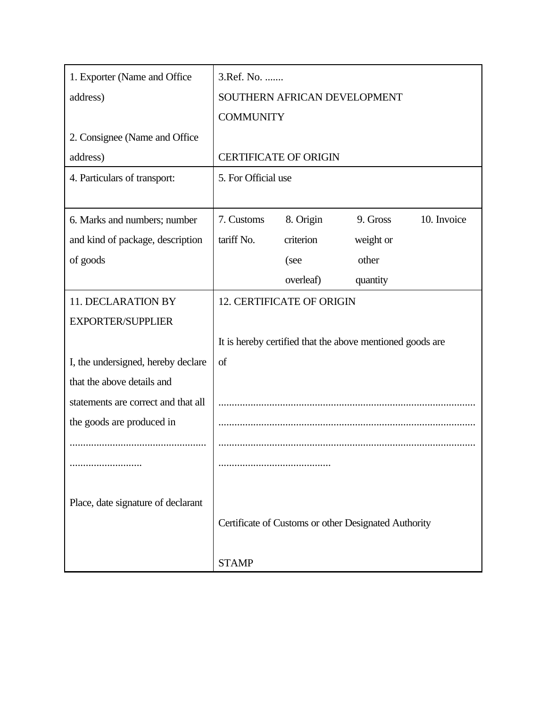| 1. Exporter (Name and Office)       | 3.Ref. No.          |                                                           |           |             |
|-------------------------------------|---------------------|-----------------------------------------------------------|-----------|-------------|
| address)                            |                     | SOUTHERN AFRICAN DEVELOPMENT                              |           |             |
|                                     | <b>COMMUNITY</b>    |                                                           |           |             |
| 2. Consignee (Name and Office)      |                     |                                                           |           |             |
| address)                            |                     | <b>CERTIFICATE OF ORIGIN</b>                              |           |             |
| 4. Particulars of transport:        | 5. For Official use |                                                           |           |             |
|                                     |                     |                                                           |           |             |
| 6. Marks and numbers; number        | 7. Customs          | 8. Origin                                                 | 9. Gross  | 10. Invoice |
| and kind of package, description    | tariff No.          | criterion                                                 | weight or |             |
| of goods                            |                     | (see                                                      | other     |             |
|                                     |                     | overleaf)                                                 | quantity  |             |
| 11. DECLARATION BY                  |                     | <b>12. CERTIFICATE OF ORIGIN</b>                          |           |             |
| <b>EXPORTER/SUPPLIER</b>            |                     |                                                           |           |             |
|                                     |                     | It is hereby certified that the above mentioned goods are |           |             |
| I, the undersigned, hereby declare  | of                  |                                                           |           |             |
| that the above details and          |                     |                                                           |           |             |
| statements are correct and that all |                     |                                                           |           |             |
| the goods are produced in           |                     |                                                           |           |             |
|                                     |                     |                                                           |           |             |
|                                     |                     |                                                           |           |             |
|                                     |                     |                                                           |           |             |
| Place, date signature of declarant  |                     |                                                           |           |             |
|                                     |                     | Certificate of Customs or other Designated Authority      |           |             |
|                                     |                     |                                                           |           |             |
|                                     | <b>STAMP</b>        |                                                           |           |             |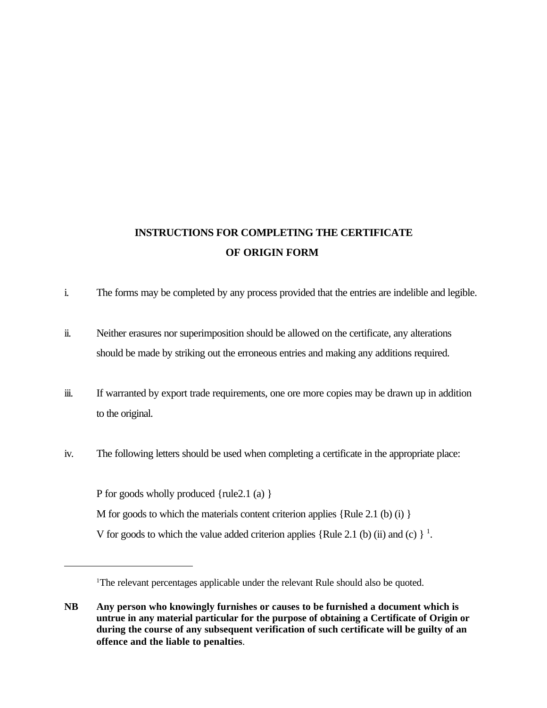## **INSTRUCTIONS FOR COMPLETING THE CERTIFICATE OF ORIGIN FORM**

- i. The forms may be completed by any process provided that the entries are indelible and legible.
- ii. Neither erasures nor superimposition should be allowed on the certificate, any alterations should be made by striking out the erroneous entries and making any additions required.
- iii. If warranted by export trade requirements, one ore more copies may be drawn up in addition to the original.
- iv. The following letters should be used when completing a certificate in the appropriate place:

P for goods wholly produced {rule2.1 (a) } M for goods to which the materials content criterion applies  $\{Rule 2.1 \, (b) \, (i) \}$ V for goods to which the value added criterion applies {Rule [2.1](#page-94-0) (b) (ii) and (c)  $\}$ <sup>1</sup>.

<sup>&</sup>lt;sup>1</sup>The relevant percentages applicable under the relevant Rule should also be quoted.

**NB Any person who knowingly furnishes or causes to be furnished a document which is untrue in any material particular for the purpose of obtaining a Certificate of Origin or during the course of any subsequent verification of such certificate will be guilty of an offence and the liable to penalties**.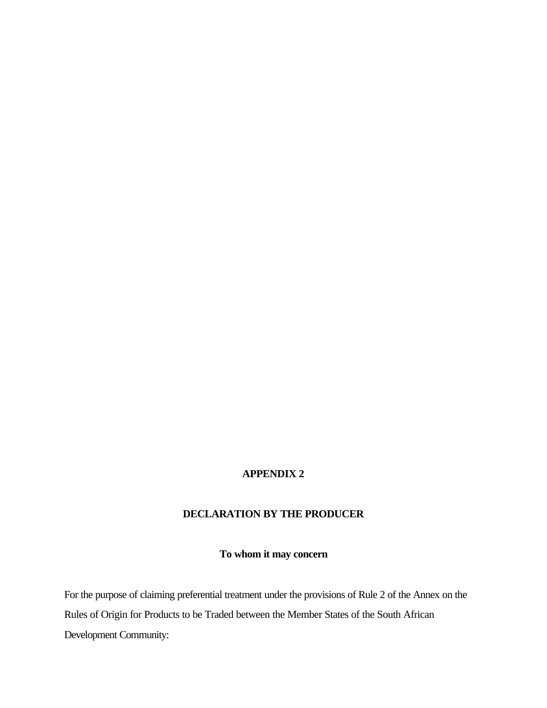## **APPENDIX 2**

#### **DECLARATION BY THE PRODUCER**

#### **To whom it may concern**

For the purpose of claiming preferential treatment under the provisions of Rule 2 of the Annex on the Rules of Origin for Products to be Traded between the Member States of the South African Development Community: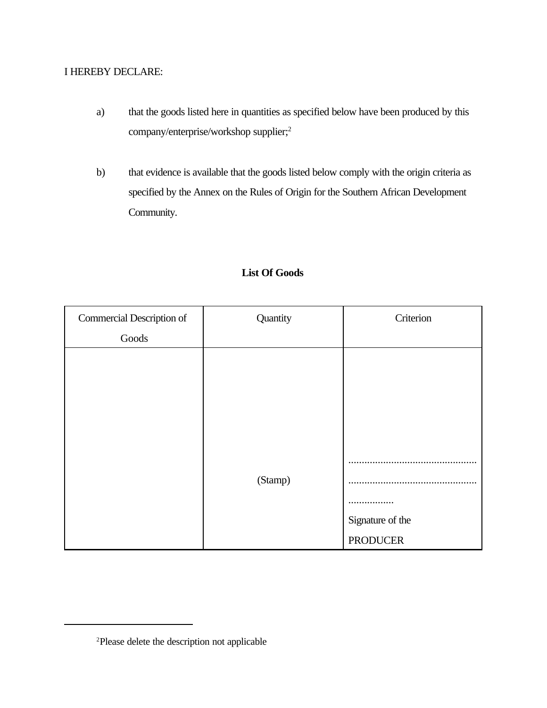### I HEREBY DECLARE:

- a) that the goods listed here in quantities as specified below have been produced by this company/enterprise/workshop [supplier;2](#page-94-0)
- b) that evidence is available that the goods listed below comply with the origin criteria as specified by the Annex on the Rules of Origin for the Southern African Development Community.

| Commercial Description of | Quantity | Criterion        |
|---------------------------|----------|------------------|
| Goods                     |          |                  |
|                           |          |                  |
|                           |          |                  |
|                           |          |                  |
|                           |          |                  |
|                           |          |                  |
|                           |          |                  |
|                           | (Stamp)  |                  |
|                           |          |                  |
|                           |          | Signature of the |
|                           |          | <b>PRODUCER</b>  |

### **List Of Goods**

[<sup>2</sup>Please](#page-94-0) delete the description not applicable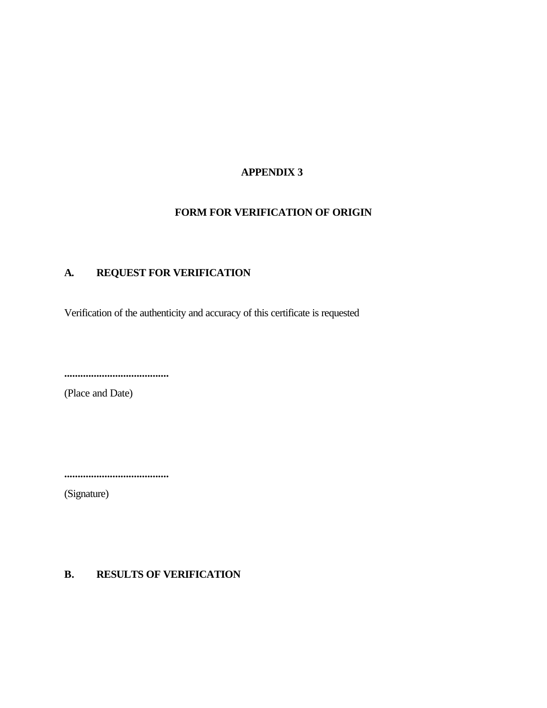### **APPENDIX 3**

### **FORM FOR VERIFICATION OF ORIGIN**

## **A. REQUEST FOR VERIFICATION**

Verification of the authenticity and accuracy of this certificate is requested

**.......................................**

(Place and Date)

**.......................................**

(Signature)

### **B. RESULTS OF VERIFICATION**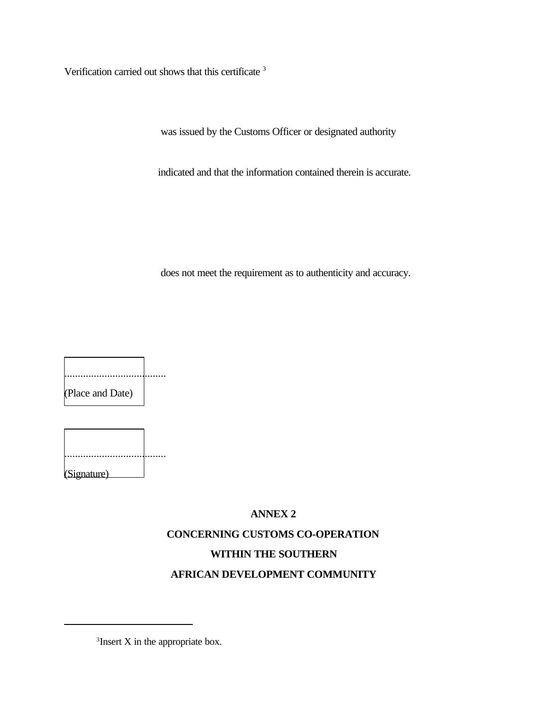Verification carried out shows that this [certificate 3](#page-94-0) 

was issued by the Customs Officer or designated authority

indicated and that the information contained therein is accurate.

does not meet the requirement as to authenticity and accuracy.

...................................... (Place and Date)

| (Signature) |  |
|-------------|--|

# **ANNEX 2 CONCERNING CUSTOMS CO-OPERATION WITHIN THE SOUTHERN AFRICAN DEVELOPMENT COMMUNITY**

<sup>&</sup>lt;sup>3</sup>Insert X in the appropriate box.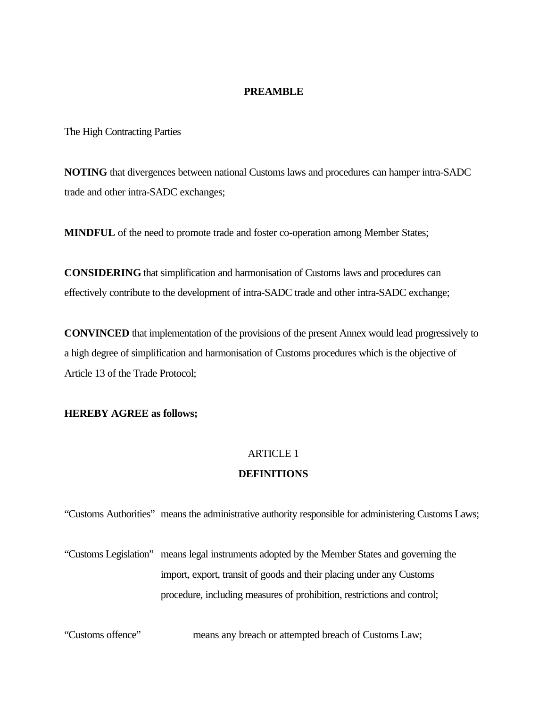#### **PREAMBLE**

The High Contracting Parties

**NOTING** that divergences between national Customs laws and procedures can hamper intra-SADC trade and other intra-SADC exchanges;

**MINDFUL** of the need to promote trade and foster co-operation among Member States;

**CONSIDERING** that simplification and harmonisation of Customs laws and procedures can effectively contribute to the development of intra-SADC trade and other intra-SADC exchange;

**CONVINCED** that implementation of the provisions of the present Annex would lead progressively to a high degree of simplification and harmonisation of Customs procedures which is the objective of Article 13 of the Trade Protocol;

#### **HEREBY AGREE as follows;**

### ARTICLE 1

#### **DEFINITIONS**

"Customs Authorities" means the administrative authority responsible for administering Customs Laws;

"Customs Legislation" means legal instruments adopted by the Member States and governing the import, export, transit of goods and their placing under any Customs procedure, including measures of prohibition, restrictions and control;

"Customs offence" means any breach or attempted breach of Customs Law;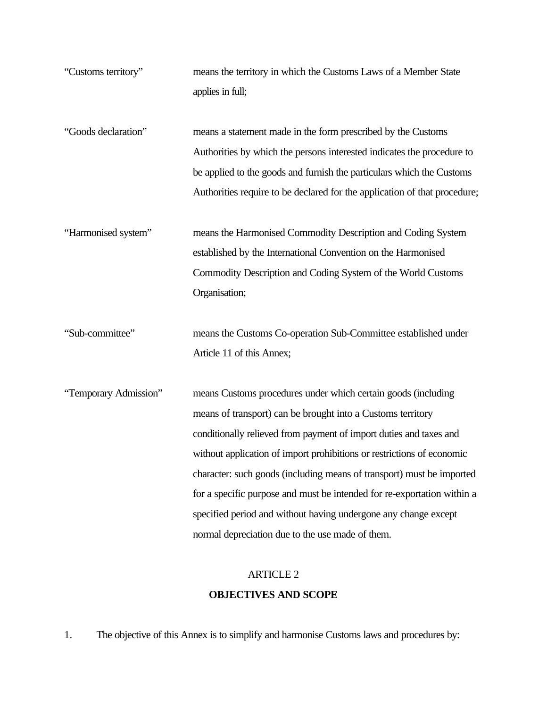"Customs territory" means the territory in which the Customs Laws of a Member State applies in full;

"Goods declaration" means a statement made in the form prescribed by the Customs Authorities by which the persons interested indicates the procedure to be applied to the goods and furnish the particulars which the Customs Authorities require to be declared for the application of that procedure;

"Harmonised system" means the Harmonised Commodity Description and Coding System established by the International Convention on the Harmonised Commodity Description and Coding System of the World Customs Organisation;

"Sub-committee" means the Customs Co-operation Sub-Committee established under Article 11 of this Annex;

"Temporary Admission" means Customs procedures under which certain goods (including means of transport) can be brought into a Customs territory conditionally relieved from payment of import duties and taxes and without application of import prohibitions or restrictions of economic character: such goods (including means of transport) must be imported for a specific purpose and must be intended for re-exportation within a specified period and without having undergone any change except normal depreciation due to the use made of them.

## ARTICLE 2

#### **OBJECTIVES AND SCOPE**

1. The objective of this Annex is to simplify and harmonise Customs laws and procedures by: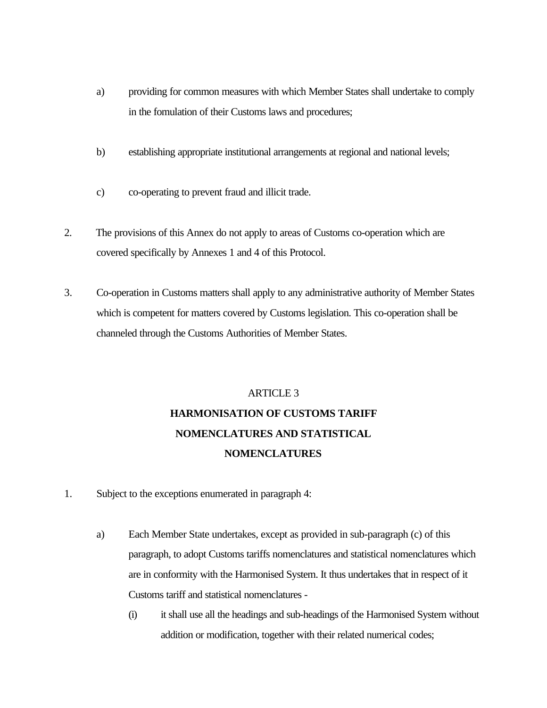- a) providing for common measures with which Member States shall undertake to comply in the fomulation of their Customs laws and procedures;
- b) establishing appropriate institutional arrangements at regional and national levels;
- c) co-operating to prevent fraud and illicit trade.
- 2. The provisions of this Annex do not apply to areas of Customs co-operation which are covered specifically by Annexes 1 and 4 of this Protocol.
- 3. Co-operation in Customs matters shall apply to any administrative authority of Member States which is competent for matters covered by Customs legislation. This co-operation shall be channeled through the Customs Authorities of Member States.

# ARTICLE 3 **HARMONISATION OF CUSTOMS TARIFF NOMENCLATURES AND STATISTICAL NOMENCLATURES**

- 1. Subject to the exceptions enumerated in paragraph 4:
	- a) Each Member State undertakes, except as provided in sub-paragraph (c) of this paragraph, to adopt Customs tariffs nomenclatures and statistical nomenclatures which are in conformity with the Harmonised System. It thus undertakes that in respect of it Customs tariff and statistical nomenclatures
		- (i) it shall use all the headings and sub-headings of the Harmonised System without addition or modification, together with their related numerical codes;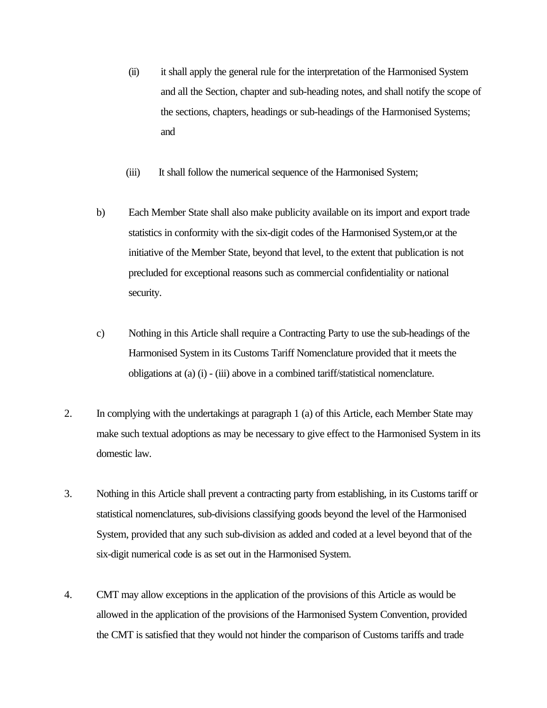- (ii) it shall apply the general rule for the interpretation of the Harmonised System and all the Section, chapter and sub-heading notes, and shall notify the scope of the sections, chapters, headings or sub-headings of the Harmonised Systems; and
- (iii) It shall follow the numerical sequence of the Harmonised System;
- b) Each Member State shall also make publicity available on its import and export trade statistics in conformity with the six-digit codes of the Harmonised System,or at the initiative of the Member State, beyond that level, to the extent that publication is not precluded for exceptional reasons such as commercial confidentiality or national security.
- c) Nothing in this Article shall require a Contracting Party to use the sub-headings of the Harmonised System in its Customs Tariff Nomenclature provided that it meets the obligations at (a) (i) - (iii) above in a combined tariff/statistical nomenclature.
- 2. In complying with the undertakings at paragraph 1 (a) of this Article, each Member State may make such textual adoptions as may be necessary to give effect to the Harmonised System in its domestic law.
- 3. Nothing in this Article shall prevent a contracting party from establishing, in its Customs tariff or statistical nomenclatures, sub-divisions classifying goods beyond the level of the Harmonised System, provided that any such sub-division as added and coded at a level beyond that of the six-digit numerical code is as set out in the Harmonised System.
- 4. CMT may allow exceptions in the application of the provisions of this Article as would be allowed in the application of the provisions of the Harmonised System Convention, provided the CMT is satisfied that they would not hinder the comparison of Customs tariffs and trade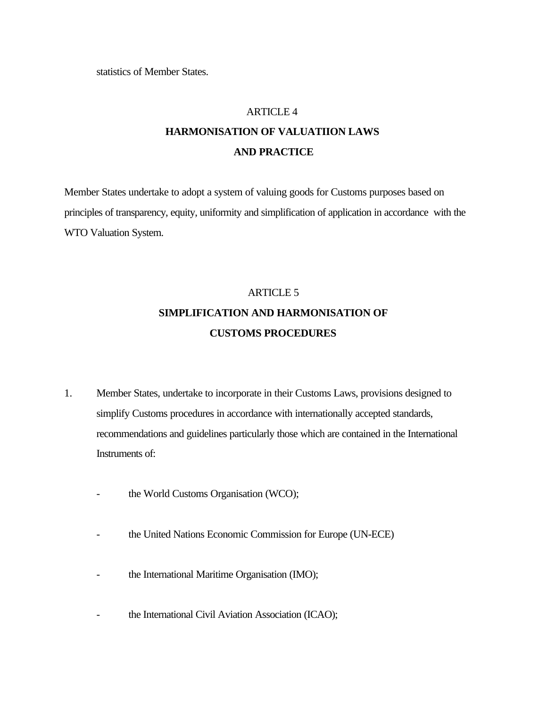statistics of Member States.

#### ARTICLE 4

## **HARMONISATION OF VALUATIION LAWS AND PRACTICE**

Member States undertake to adopt a system of valuing goods for Customs purposes based on principles of transparency, equity, uniformity and simplification of application in accordance with the WTO Valuation System.

# ARTICLE 5 **SIMPLIFICATION AND HARMONISATION OF CUSTOMS PROCEDURES**

- 1. Member States, undertake to incorporate in their Customs Laws, provisions designed to simplify Customs procedures in accordance with internationally accepted standards, recommendations and guidelines particularly those which are contained in the International Instruments of:
	- the World Customs Organisation (WCO);
	- the United Nations Economic Commission for Europe (UN-ECE)
	- the International Maritime Organisation (IMO);
	- the International Civil Aviation Association (ICAO);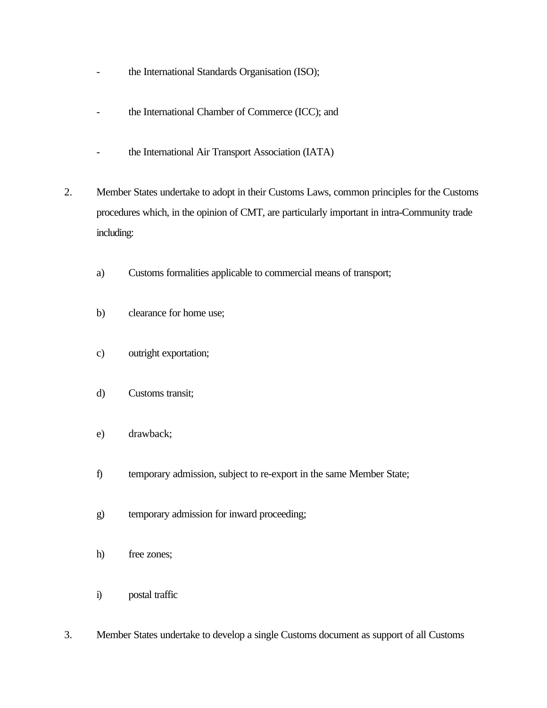- the International Standards Organisation (ISO);
- the International Chamber of Commerce (ICC); and
- the International Air Transport Association (IATA)
- 2. Member States undertake to adopt in their Customs Laws, common principles for the Customs procedures which, in the opinion of CMT, are particularly important in intra-Community trade including:
	- a) Customs formalities applicable to commercial means of transport;
	- b) clearance for home use;
	- c) outright exportation;
	- d) Customs transit;
	- e) drawback;
	- f) temporary admission, subject to re-export in the same Member State;
	- g) temporary admission for inward proceeding;
	- h) free zones;
	- i) postal traffic
- 3. Member States undertake to develop a single Customs document as support of all Customs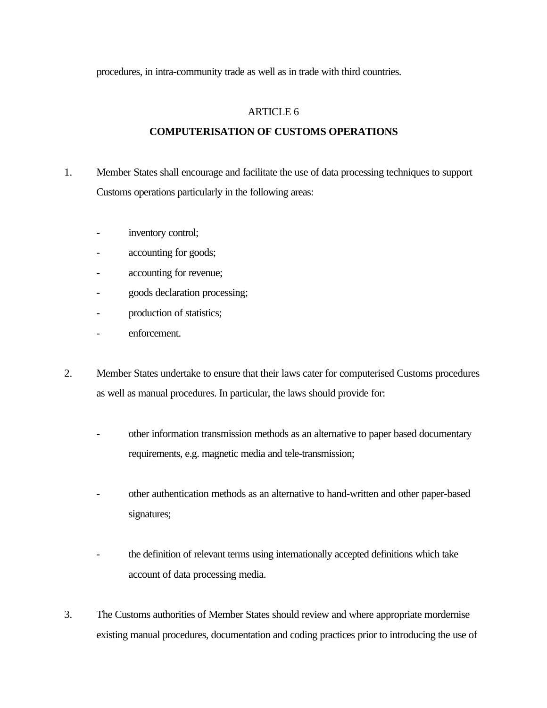procedures, in intra-community trade as well as in trade with third countries.

#### ARTICLE 6

#### **COMPUTERISATION OF CUSTOMS OPERATIONS**

- 1. Member States shall encourage and facilitate the use of data processing techniques to support Customs operations particularly in the following areas:
	- inventory control;
	- accounting for goods;
	- accounting for revenue;
	- goods declaration processing;
	- production of statistics;
	- enforcement.
- 2. Member States undertake to ensure that their laws cater for computerised Customs procedures as well as manual procedures. In particular, the laws should provide for:
	- other information transmission methods as an alternative to paper based documentary requirements, e.g. magnetic media and tele-transmission;
	- other authentication methods as an alternative to hand-written and other paper-based signatures;
	- the definition of relevant terms using internationally accepted definitions which take account of data processing media.
- 3. The Customs authorities of Member States should review and where appropriate mordernise existing manual procedures, documentation and coding practices prior to introducing the use of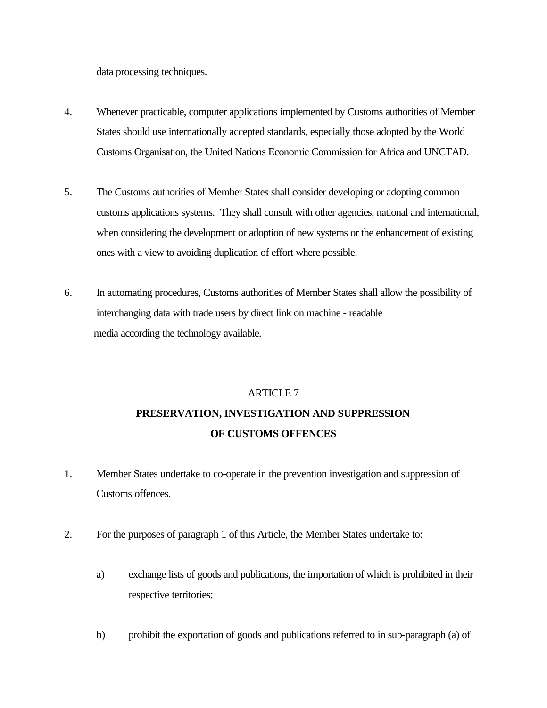data processing techniques.

- 4. Whenever practicable, computer applications implemented by Customs authorities of Member States should use internationally accepted standards, especially those adopted by the World Customs Organisation, the United Nations Economic Commission for Africa and UNCTAD.
- 5. The Customs authorities of Member States shall consider developing or adopting common customs applications systems. They shall consult with other agencies, national and international, when considering the development or adoption of new systems or the enhancement of existing ones with a view to avoiding duplication of effort where possible.
- 6. In automating procedures, Customs authorities of Member States shall allow the possibility of interchanging data with trade users by direct link on machine - readable media according the technology available.

# ARTICLE 7 **PRESERVATION, INVESTIGATION AND SUPPRESSION OF CUSTOMS OFFENCES**

- 1. Member States undertake to co-operate in the prevention investigation and suppression of Customs offences.
- 2. For the purposes of paragraph 1 of this Article, the Member States undertake to:
	- a) exchange lists of goods and publications, the importation of which is prohibited in their respective territories;
	- b) prohibit the exportation of goods and publications referred to in sub-paragraph (a) of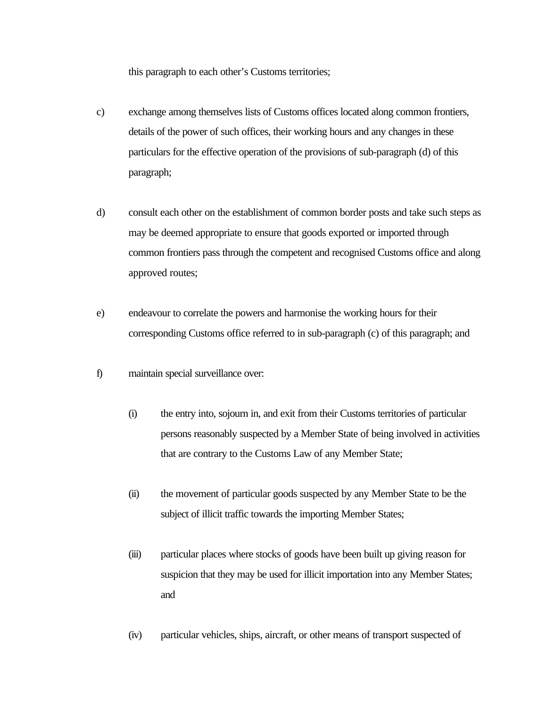this paragraph to each other's Customs territories;

- c) exchange among themselves lists of Customs offices located along common frontiers, details of the power of such offices, their working hours and any changes in these particulars for the effective operation of the provisions of sub-paragraph (d) of this paragraph;
- d) consult each other on the establishment of common border posts and take such steps as may be deemed appropriate to ensure that goods exported or imported through common frontiers pass through the competent and recognised Customs office and along approved routes;
- e) endeavour to correlate the powers and harmonise the working hours for their corresponding Customs office referred to in sub-paragraph (c) of this paragraph; and
- f) maintain special surveillance over:
	- (i) the entry into, sojourn in, and exit from their Customs territories of particular persons reasonably suspected by a Member State of being involved in activities that are contrary to the Customs Law of any Member State;
	- (ii) the movement of particular goods suspected by any Member State to be the subject of illicit traffic towards the importing Member States;
	- (iii) particular places where stocks of goods have been built up giving reason for suspicion that they may be used for illicit importation into any Member States; and
	- (iv) particular vehicles, ships, aircraft, or other means of transport suspected of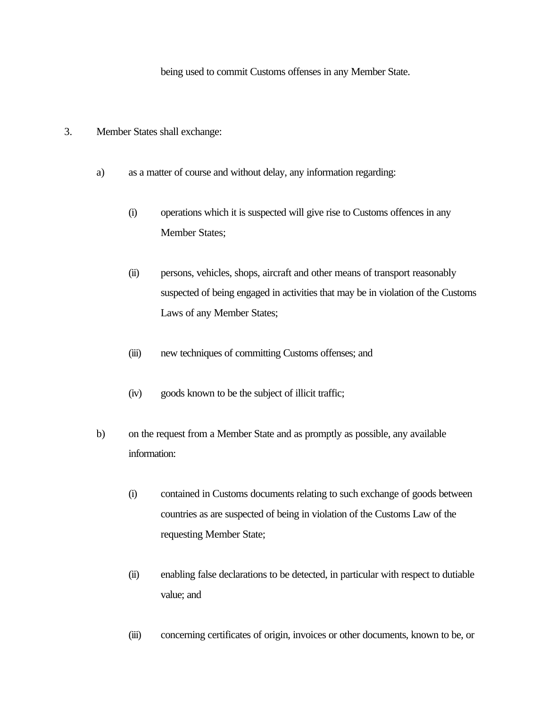being used to commit Customs offenses in any Member State.

- 3. Member States shall exchange:
	- a) as a matter of course and without delay, any information regarding:
		- (i) operations which it is suspected will give rise to Customs offences in any Member States;
		- (ii) persons, vehicles, shops, aircraft and other means of transport reasonably suspected of being engaged in activities that may be in violation of the Customs Laws of any Member States;
		- (iii) new techniques of committing Customs offenses; and
		- (iv) goods known to be the subject of illicit traffic;
	- b) on the request from a Member State and as promptly as possible, any available information:
		- (i) contained in Customs documents relating to such exchange of goods between countries as are suspected of being in violation of the Customs Law of the requesting Member State;
		- (ii) enabling false declarations to be detected, in particular with respect to dutiable value; and
		- (iii) concerning certificates of origin, invoices or other documents, known to be, or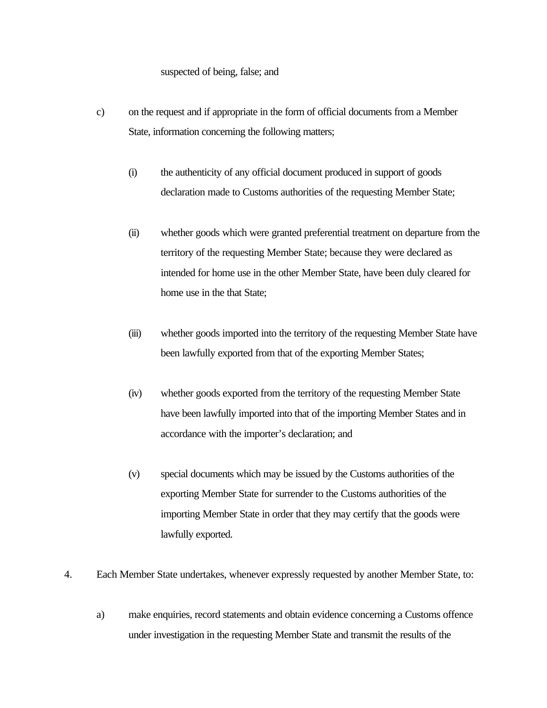#### suspected of being, false; and

- c) on the request and if appropriate in the form of official documents from a Member State, information concerning the following matters;
	- (i) the authenticity of any official document produced in support of goods declaration made to Customs authorities of the requesting Member State;
	- (ii) whether goods which were granted preferential treatment on departure from the territory of the requesting Member State; because they were declared as intended for home use in the other Member State, have been duly cleared for home use in the that State;
	- (iii) whether goods imported into the territory of the requesting Member State have been lawfully exported from that of the exporting Member States;
	- (iv) whether goods exported from the territory of the requesting Member State have been lawfully imported into that of the importing Member States and in accordance with the importer's declaration; and
	- (v) special documents which may be issued by the Customs authorities of the exporting Member State for surrender to the Customs authorities of the importing Member State in order that they may certify that the goods were lawfully exported.
- 4. Each Member State undertakes, whenever expressly requested by another Member State, to:
	- a) make enquiries, record statements and obtain evidence concerning a Customs offence under investigation in the requesting Member State and transmit the results of the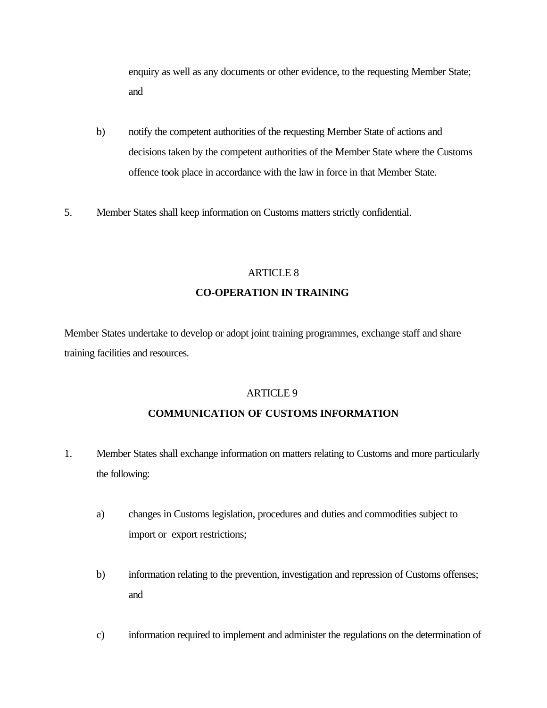enquiry as well as any documents or other evidence, to the requesting Member State; and

- b) notify the competent authorities of the requesting Member State of actions and decisions taken by the competent authorities of the Member State where the Customs offence took place in accordance with the law in force in that Member State.
- 5. Member States shall keep information on Customs matters strictly confidential.

#### ARTICLE 8

### **CO-OPERATION IN TRAINING**

Member States undertake to develop or adopt joint training programmes, exchange staff and share training facilities and resources.

#### ARTICLE 9

#### **COMMUNICATION OF CUSTOMS INFORMATION**

- 1. Member States shall exchange information on matters relating to Customs and more particularly the following:
	- a) changes in Customs legislation, procedures and duties and commodities subject to import or export restrictions;
	- b) information relating to the prevention, investigation and repression of Customs offenses; and
	- c) information required to implement and administer the regulations on the determination of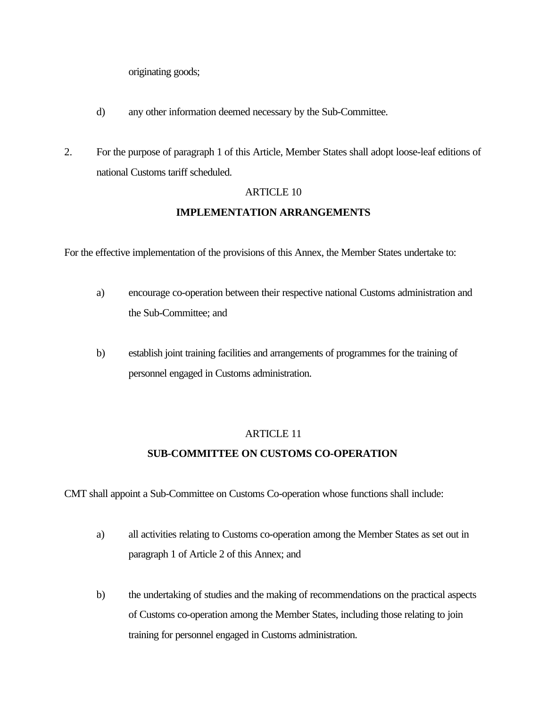originating goods;

- d) any other information deemed necessary by the Sub-Committee.
- 2. For the purpose of paragraph 1 of this Article, Member States shall adopt loose-leaf editions of national Customs tariff scheduled.

#### ARTICLE 10

#### **IMPLEMENTATION ARRANGEMENTS**

For the effective implementation of the provisions of this Annex, the Member States undertake to:

- a) encourage co-operation between their respective national Customs administration and the Sub-Committee; and
- b) establish joint training facilities and arrangements of programmes for the training of personnel engaged in Customs administration.

#### ARTICLE 11

#### **SUB-COMMITTEE ON CUSTOMS CO-OPERATION**

CMT shall appoint a Sub-Committee on Customs Co-operation whose functions shall include:

- a) all activities relating to Customs co-operation among the Member States as set out in paragraph 1 of Article 2 of this Annex; and
- b) the undertaking of studies and the making of recommendations on the practical aspects of Customs co-operation among the Member States, including those relating to join training for personnel engaged in Customs administration.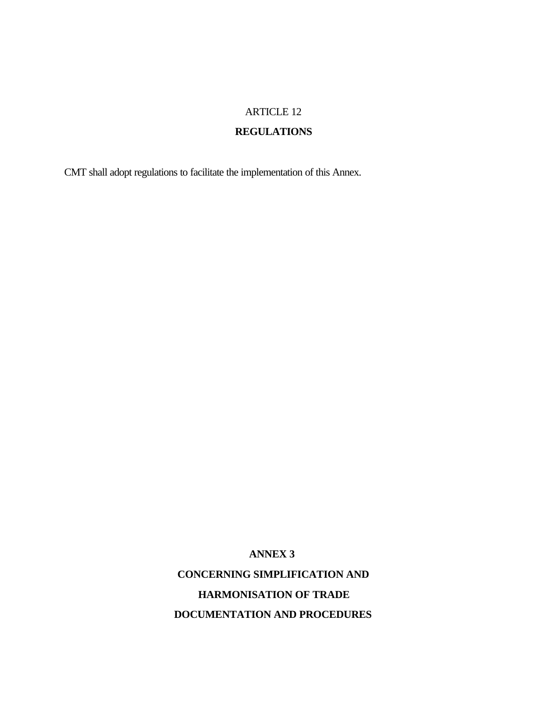## **REGULATIONS**

CMT shall adopt regulations to facilitate the implementation of this Annex.

**ANNEX 3** 

**CONCERNING SIMPLIFICATION AND HARMONISATION OF TRADE DOCUMENTATION AND PROCEDURES**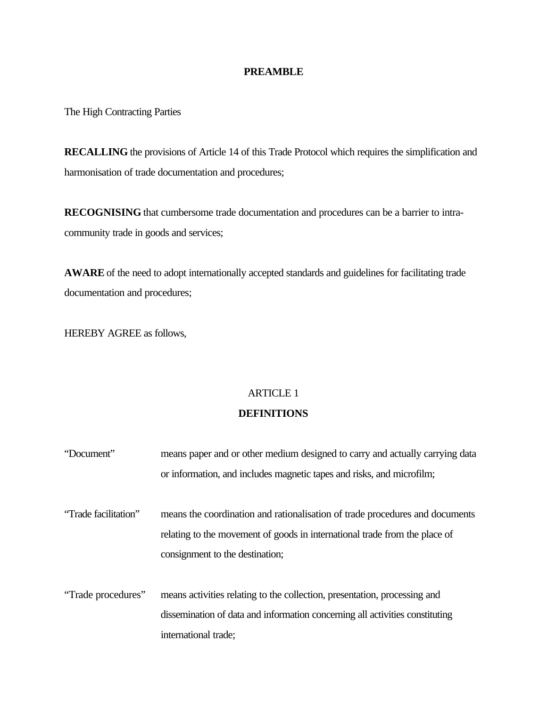#### **PREAMBLE**

The High Contracting Parties

**RECALLING** the provisions of Article 14 of this Trade Protocol which requires the simplification and harmonisation of trade documentation and procedures;

**RECOGNISING** that cumbersome trade documentation and procedures can be a barrier to intracommunity trade in goods and services;

**AWARE** of the need to adopt internationally accepted standards and guidelines for facilitating trade documentation and procedures;

HEREBY AGREE as follows,

## ARTICLE 1

#### **DEFINITIONS**

| "Document"           | means paper and or other medium designed to carry and actually carrying data |
|----------------------|------------------------------------------------------------------------------|
|                      | or information, and includes magnetic tapes and risks, and microfilm;        |
|                      |                                                                              |
| "Trade facilitation" | means the coordination and rationalisation of trade procedures and documents |
|                      | relating to the movement of goods in international trade from the place of   |
|                      | consignment to the destination;                                              |
|                      |                                                                              |
| "Trade procedures"   | means activities relating to the collection, presentation, processing and    |
|                      | dissemination of data and information concerning all activities constituting |
|                      | international trade;                                                         |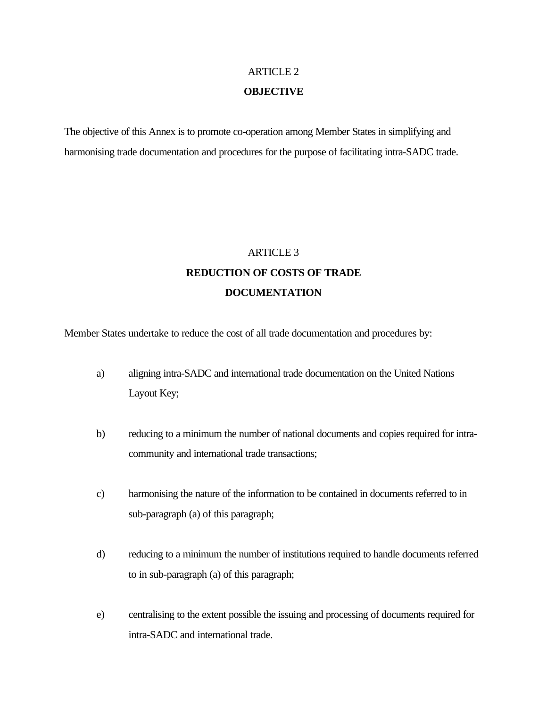#### **OBJECTIVE**

The objective of this Annex is to promote co-operation among Member States in simplifying and harmonising trade documentation and procedures for the purpose of facilitating intra-SADC trade.

## ARTICLE 3 **REDUCTION OF COSTS OF TRADE DOCUMENTATION**

Member States undertake to reduce the cost of all trade documentation and procedures by:

- a) aligning intra-SADC and international trade documentation on the United Nations Layout Key;
- b) reducing to a minimum the number of national documents and copies required for intracommunity and international trade transactions;
- c) harmonising the nature of the information to be contained in documents referred to in sub-paragraph (a) of this paragraph;
- d) reducing to a minimum the number of institutions required to handle documents referred to in sub-paragraph (a) of this paragraph;
- e) centralising to the extent possible the issuing and processing of documents required for intra-SADC and international trade.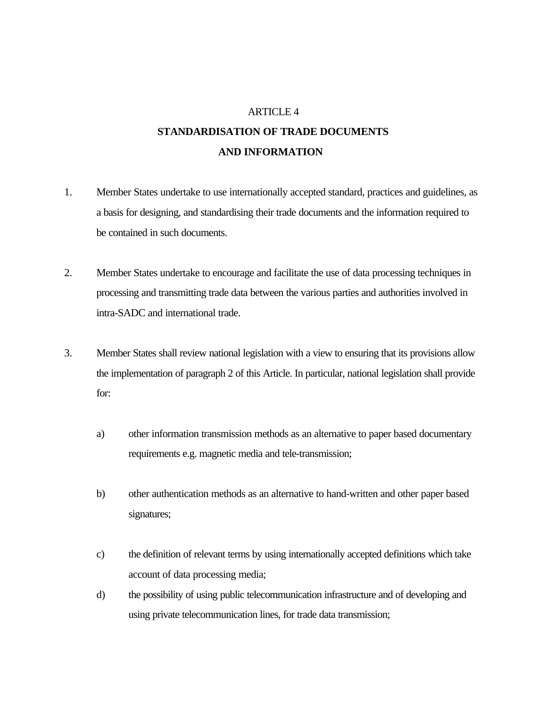## **AND INFORMATION STANDARDISATION OF TRADE DOCUMENTS**

- 1. Member States undertake to use internationally accepted standard, practices and guidelines, as a basis for designing, and standardising their trade documents and the information required to be contained in such documents.
- 2. Member States undertake to encourage and facilitate the use of data processing techniques in processing and transmitting trade data between the various parties and authorities involved in intra-SADC and international trade.
- 3. Member States shall review national legislation with a view to ensuring that its provisions allow the implementation of paragraph 2 of this Article. In particular, national legislation shall provide for:
	- a) other information transmission methods as an alternative to paper based documentary requirements e.g. magnetic media and tele-transmission;
	- b) other authentication methods as an alternative to hand-written and other paper based signatures;
	- c) the definition of relevant terms by using internationally accepted definitions which take account of data processing media;
	- d) the possibility of using public telecommunication infrastructure and of developing and using private telecommunication lines, for trade data transmission;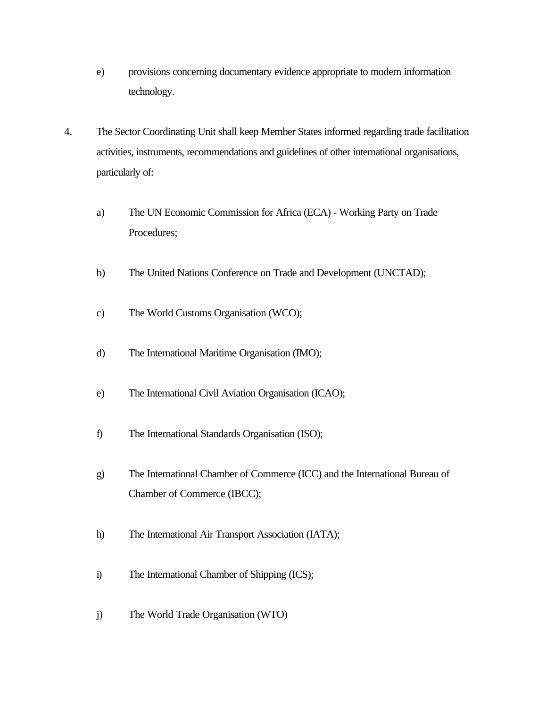- e) provisions concerning documentary evidence appropriate to modern information technology.
- 4. The Sector Coordinating Unit shall keep Member States informed regarding trade facilitation activities, instruments, recommendations and guidelines of other international organisations, particularly of:
	- a) The UN Economic Commission for Africa (ECA) Working Party on Trade Procedures;
	- b) The United Nations Conference on Trade and Development (UNCTAD);
	- c) The World Customs Organisation (WCO);
	- d) The International Maritime Organisation (IMO);
	- e) The International Civil Aviation Organisation (ICAO);
	- f) The International Standards Organisation (ISO);
	- g) The International Chamber of Commerce (ICC) and the International Bureau of Chamber of Commerce (IBCC);
	- h) The International Air Transport Association (IATA);
	- i) The International Chamber of Shipping (ICS);
	- j) The World Trade Organisation (WTO)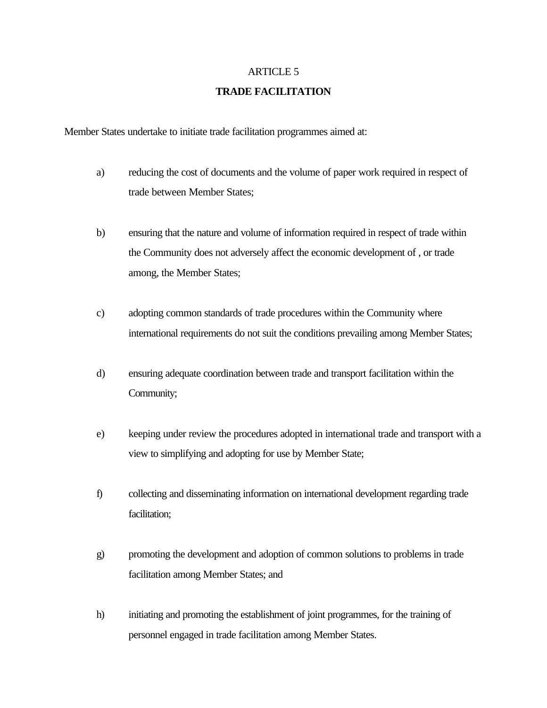#### **TRADE FACILITATION**

Member States undertake to initiate trade facilitation programmes aimed at:

- a) reducing the cost of documents and the volume of paper work required in respect of trade between Member States;
- b) ensuring that the nature and volume of information required in respect of trade within the Community does not adversely affect the economic development of , or trade among, the Member States;
- c) adopting common standards of trade procedures within the Community where international requirements do not suit the conditions prevailing among Member States;
- d) ensuring adequate coordination between trade and transport facilitation within the Community;
- e) keeping under review the procedures adopted in international trade and transport with a view to simplifying and adopting for use by Member State;
- f) collecting and disseminating information on international development regarding trade facilitation;
- g) promoting the development and adoption of common solutions to problems in trade facilitation among Member States; and
- h) initiating and promoting the establishment of joint programmes, for the training of personnel engaged in trade facilitation among Member States.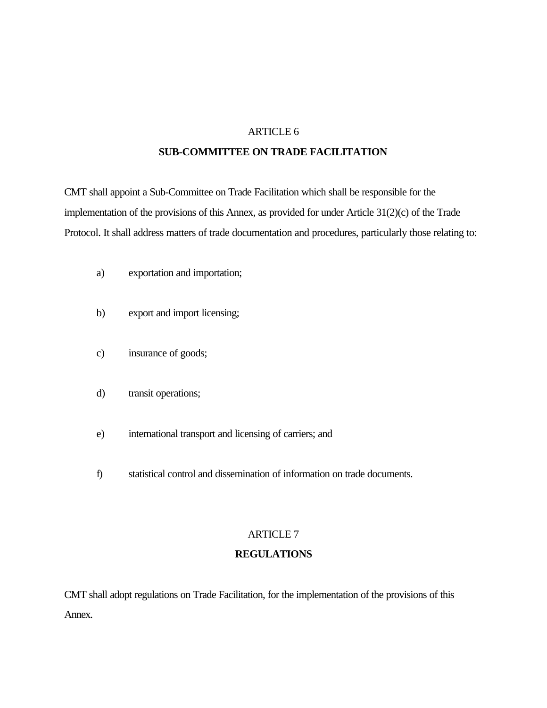#### **SUB-COMMITTEE ON TRADE FACILITATION**

CMT shall appoint a Sub-Committee on Trade Facilitation which shall be responsible for the implementation of the provisions of this Annex, as provided for under Article 31(2)(c) of the Trade Protocol. It shall address matters of trade documentation and procedures, particularly those relating to:

- a) exportation and importation;
- b) export and import licensing;
- c) insurance of goods;
- d) transit operations;
- e) international transport and licensing of carriers; and
- f) statistical control and dissemination of information on trade documents.

#### ARTICLE 7

#### **REGULATIONS**

CMT shall adopt regulations on Trade Facilitation, for the implementation of the provisions of this Annex.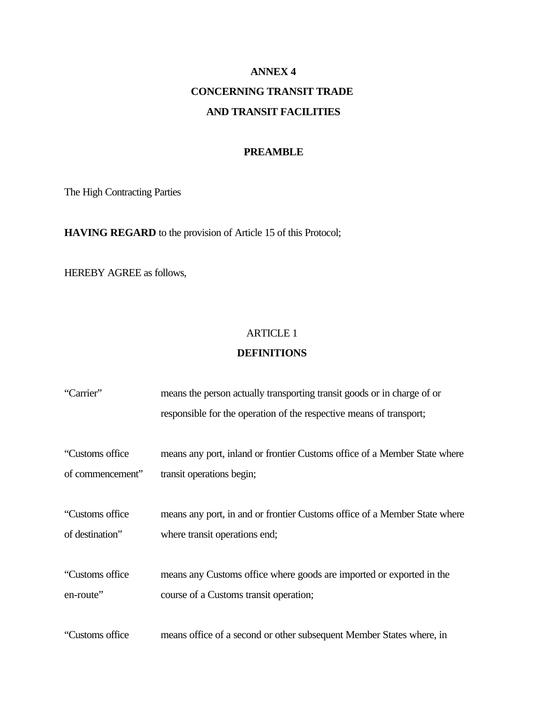# **ANNEX 4 CONCERNING TRANSIT TRADE AND TRANSIT FACILITIES**

#### **PREAMBLE**

The High Contracting Parties

**HAVING REGARD** to the provision of Article 15 of this Protocol;

HEREBY AGREE as follows,

#### ARTICLE 1

#### **DEFINITIONS**

| "Carrier"        | means the person actually transporting transit goods or in charge of or   |
|------------------|---------------------------------------------------------------------------|
|                  | responsible for the operation of the respective means of transport;       |
| "Customs office" | means any port, inland or frontier Customs office of a Member State where |
| of commencement" | transit operations begin;                                                 |
|                  |                                                                           |
| "Customs office" | means any port, in and or frontier Customs office of a Member State where |
| of destination"  | where transit operations end;                                             |
|                  |                                                                           |
| "Customs office" | means any Customs office where goods are imported or exported in the      |
| en-route"        | course of a Customs transit operation;                                    |
|                  |                                                                           |
| "Customs office" | means office of a second or other subsequent Member States where, in      |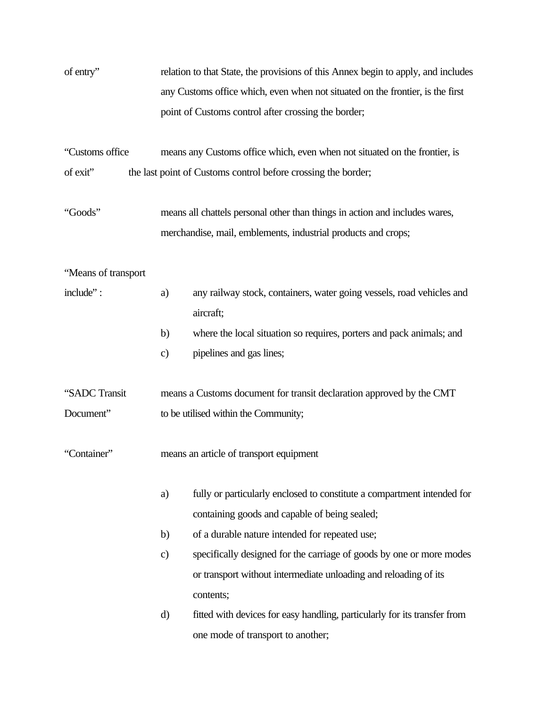| of entry"           | relation to that State, the provisions of this Annex begin to apply, and includes |                                                                                                                          |  |
|---------------------|-----------------------------------------------------------------------------------|--------------------------------------------------------------------------------------------------------------------------|--|
|                     | any Customs office which, even when not situated on the frontier, is the first    |                                                                                                                          |  |
|                     |                                                                                   | point of Customs control after crossing the border;                                                                      |  |
| "Customs office     |                                                                                   | means any Customs office which, even when not situated on the frontier, is                                               |  |
| of exit"            |                                                                                   | the last point of Customs control before crossing the border;                                                            |  |
| "Goods"             |                                                                                   | means all chattels personal other than things in action and includes wares,                                              |  |
|                     |                                                                                   | merchandise, mail, emblements, industrial products and crops;                                                            |  |
| "Means of transport |                                                                                   |                                                                                                                          |  |
| include":           | a)                                                                                | any railway stock, containers, water going vessels, road vehicles and<br>aircraft;                                       |  |
|                     | b)                                                                                | where the local situation so requires, porters and pack animals; and                                                     |  |
|                     | $\mathbf{c})$                                                                     | pipelines and gas lines;                                                                                                 |  |
| "SADC Transit       |                                                                                   | means a Customs document for transit declaration approved by the CMT                                                     |  |
| Document"           |                                                                                   | to be utilised within the Community;                                                                                     |  |
| "Container"         | means an article of transport equipment                                           |                                                                                                                          |  |
|                     | a)                                                                                | fully or particularly enclosed to constitute a compartment intended for<br>containing goods and capable of being sealed; |  |
|                     | b)                                                                                | of a durable nature intended for repeated use;                                                                           |  |
|                     | $\mathbf{c})$                                                                     | specifically designed for the carriage of goods by one or more modes                                                     |  |
|                     |                                                                                   | or transport without intermediate unloading and reloading of its                                                         |  |
|                     |                                                                                   | contents;                                                                                                                |  |
|                     | $\mathbf{d}$                                                                      | fitted with devices for easy handling, particularly for its transfer from                                                |  |
|                     |                                                                                   | one mode of transport to another;                                                                                        |  |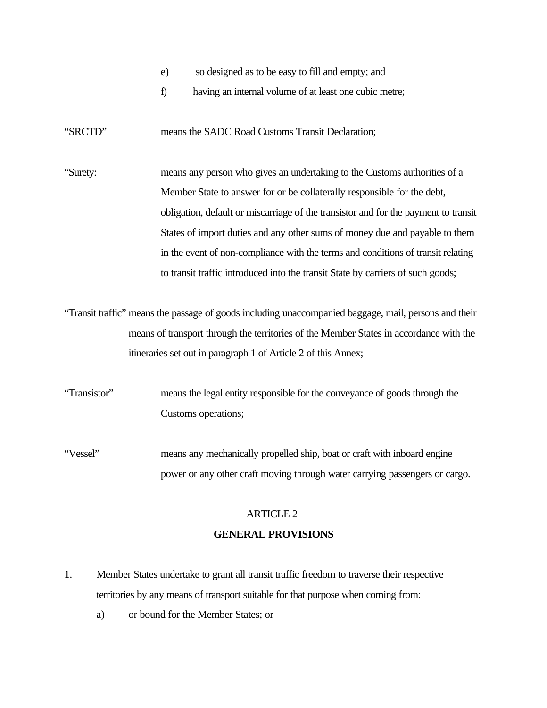- e) so designed as to be easy to fill and empty; and
- f) having an internal volume of at least one cubic metre;

"SRCTD" means the SADC Road Customs Transit Declaration;

"Surety: means any person who gives an undertaking to the Customs authorities of a Member State to answer for or be collaterally responsible for the debt, obligation, default or miscarriage of the transistor and for the payment to transit States of import duties and any other sums of money due and payable to them in the event of non-compliance with the terms and conditions of transit relating to transit traffic introduced into the transit State by carriers of such goods;

"Transit traffic" means the passage of goods including unaccompanied baggage, mail, persons and their means of transport through the territories of the Member States in accordance with the itineraries set out in paragraph 1 of Article 2 of this Annex;

"Transistor" means the legal entity responsible for the conveyance of goods through the Customs operations;

"Vessel" means any mechanically propelled ship, boat or craft with inboard engine power or any other craft moving through water carrying passengers or cargo.

## ARTICLE 2 **GENERAL PROVISIONS**

- 1. Member States undertake to grant all transit traffic freedom to traverse their respective territories by any means of transport suitable for that purpose when coming from:
	- a) or bound for the Member States; or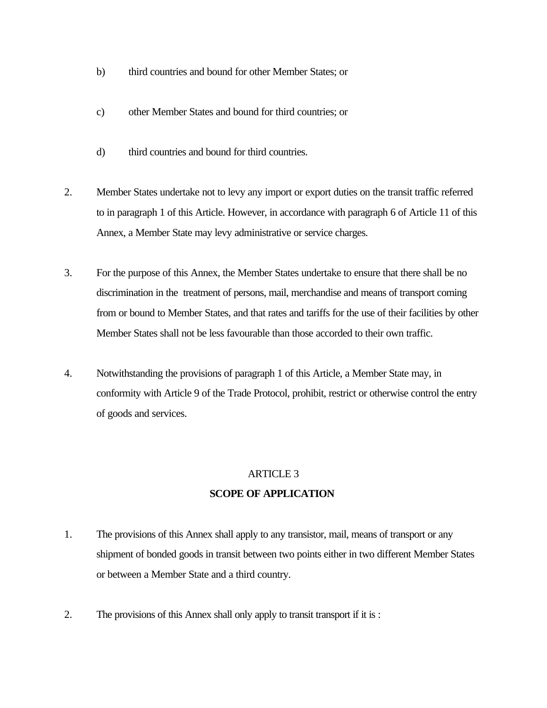- b) third countries and bound for other Member States; or
- c) other Member States and bound for third countries; or
- d) third countries and bound for third countries.
- 2. Member States undertake not to levy any import or export duties on the transit traffic referred to in paragraph 1 of this Article. However, in accordance with paragraph 6 of Article 11 of this Annex, a Member State may levy administrative or service charges.
- 3. For the purpose of this Annex, the Member States undertake to ensure that there shall be no discrimination in the treatment of persons, mail, merchandise and means of transport coming from or bound to Member States, and that rates and tariffs for the use of their facilities by other Member States shall not be less favourable than those accorded to their own traffic.
- 4. Notwithstanding the provisions of paragraph 1 of this Article, a Member State may, in conformity with Article 9 of the Trade Protocol, prohibit, restrict or otherwise control the entry of goods and services.

## ARTICLE 3 **SCOPE OF APPLICATION**

- 1. The provisions of this Annex shall apply to any transistor, mail, means of transport or any shipment of bonded goods in transit between two points either in two different Member States or between a Member State and a third country.
- 2. The provisions of this Annex shall only apply to transit transport if it is :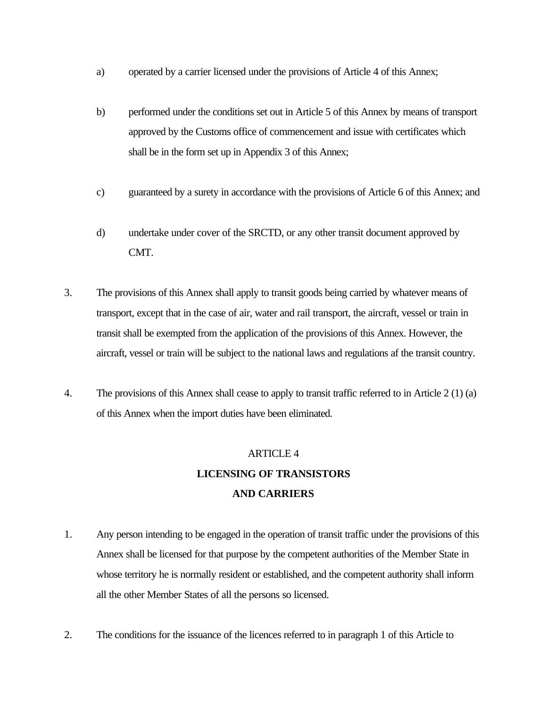- a) operated by a carrier licensed under the provisions of Article 4 of this Annex;
- b) performed under the conditions set out in Article 5 of this Annex by means of transport approved by the Customs office of commencement and issue with certificates which shall be in the form set up in Appendix 3 of this Annex;
- c) guaranteed by a surety in accordance with the provisions of Article 6 of this Annex; and
- d) undertake under cover of the SRCTD, or any other transit document approved by CMT.
- 3. The provisions of this Annex shall apply to transit goods being carried by whatever means of transport, except that in the case of air, water and rail transport, the aircraft, vessel or train in transit shall be exempted from the application of the provisions of this Annex. However, the aircraft, vessel or train will be subject to the national laws and regulations af the transit country.
- 4. The provisions of this Annex shall cease to apply to transit traffic referred to in Article 2 (1) (a) of this Annex when the import duties have been eliminated.

# ARTICLE 4 **LICENSING OF TRANSISTORS AND CARRIERS**

- 1. Any person intending to be engaged in the operation of transit traffic under the provisions of this Annex shall be licensed for that purpose by the competent authorities of the Member State in whose territory he is normally resident or established, and the competent authority shall inform all the other Member States of all the persons so licensed.
- 2. The conditions for the issuance of the licences referred to in paragraph 1 of this Article to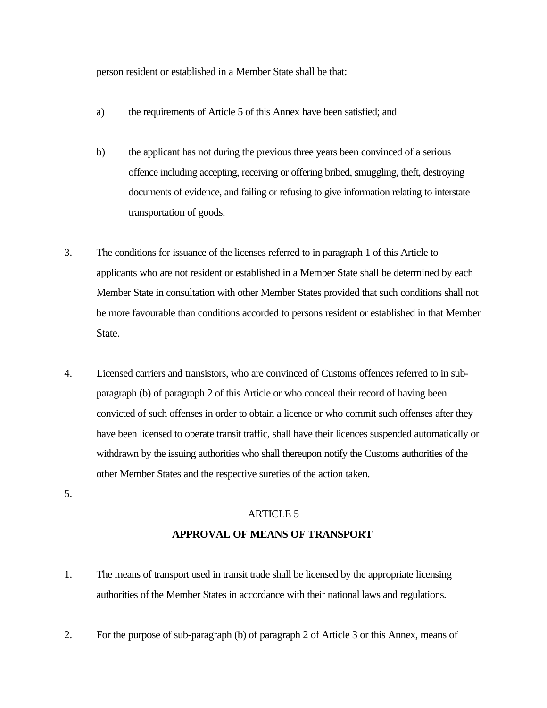person resident or established in a Member State shall be that:

- a) the requirements of Article 5 of this Annex have been satisfied; and
- b) the applicant has not during the previous three years been convinced of a serious offence including accepting, receiving or offering bribed, smuggling, theft, destroying documents of evidence, and failing or refusing to give information relating to interstate transportation of goods.
- 3. The conditions for issuance of the licenses referred to in paragraph 1 of this Article to applicants who are not resident or established in a Member State shall be determined by each Member State in consultation with other Member States provided that such conditions shall not be more favourable than conditions accorded to persons resident or established in that Member State.
- 4. Licensed carriers and transistors, who are convinced of Customs offences referred to in subparagraph (b) of paragraph 2 of this Article or who conceal their record of having been convicted of such offenses in order to obtain a licence or who commit such offenses after they have been licensed to operate transit traffic, shall have their licences suspended automatically or withdrawn by the issuing authorities who shall thereupon notify the Customs authorities of the other Member States and the respective sureties of the action taken.
- 5.

## ARTICLE 5 **APPROVAL OF MEANS OF TRANSPORT**

- 1. The means of transport used in transit trade shall be licensed by the appropriate licensing authorities of the Member States in accordance with their national laws and regulations.
- 2. For the purpose of sub-paragraph (b) of paragraph 2 of Article 3 or this Annex, means of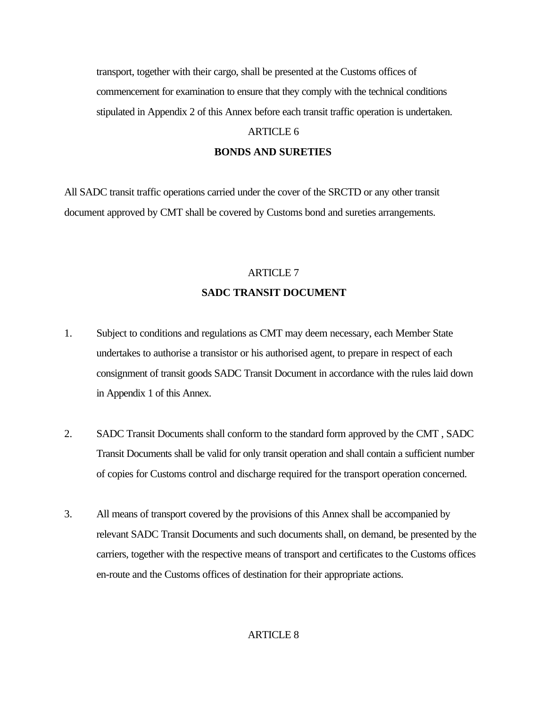transport, together with their cargo, shall be presented at the Customs offices of commencement for examination to ensure that they comply with the technical conditions stipulated in Appendix 2 of this Annex before each transit traffic operation is undertaken.

### ARTICLE 6

#### **BONDS AND SURETIES**

All SADC transit traffic operations carried under the cover of the SRCTD or any other transit document approved by CMT shall be covered by Customs bond and sureties arrangements.

## ARTICLE 7 **SADC TRANSIT DOCUMENT**

- 1. Subject to conditions and regulations as CMT may deem necessary, each Member State undertakes to authorise a transistor or his authorised agent, to prepare in respect of each consignment of transit goods SADC Transit Document in accordance with the rules laid down in Appendix 1 of this Annex.
- 2. SADC Transit Documents shall conform to the standard form approved by the CMT, SADC Transit Documents shall be valid for only transit operation and shall contain a sufficient number of copies for Customs control and discharge required for the transport operation concerned.
- 3. All means of transport covered by the provisions of this Annex shall be accompanied by relevant SADC Transit Documents and such documents shall, on demand, be presented by the carriers, together with the respective means of transport and certificates to the Customs offices en-route and the Customs offices of destination for their appropriate actions.

#### ARTICLE 8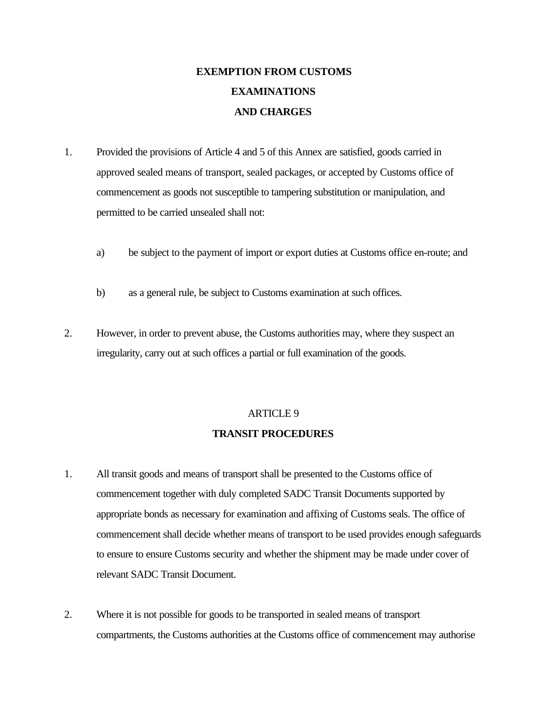# **EXEMPTION FROM CUSTOMS EXAMINATIONS AND CHARGES**

- 1. Provided the provisions of Article 4 and 5 of this Annex are satisfied, goods carried in approved sealed means of transport, sealed packages, or accepted by Customs office of commencement as goods not susceptible to tampering substitution or manipulation, and permitted to be carried unsealed shall not:
	- a) be subject to the payment of import or export duties at Customs office en-route; and
	- b) as a general rule, be subject to Customs examination at such offices.
- 2. However, in order to prevent abuse, the Customs authorities may, where they suspect an irregularity, carry out at such offices a partial or full examination of the goods.

## ARTICLE 9 **TRANSIT PROCEDURES**

- 1. All transit goods and means of transport shall be presented to the Customs office of commencement together with duly completed SADC Transit Documents supported by appropriate bonds as necessary for examination and affixing of Customs seals. The office of commencement shall decide whether means of transport to be used provides enough safeguards to ensure to ensure Customs security and whether the shipment may be made under cover of relevant SADC Transit Document.
- 2. Where it is not possible for goods to be transported in sealed means of transport compartments, the Customs authorities at the Customs office of commencement may authorise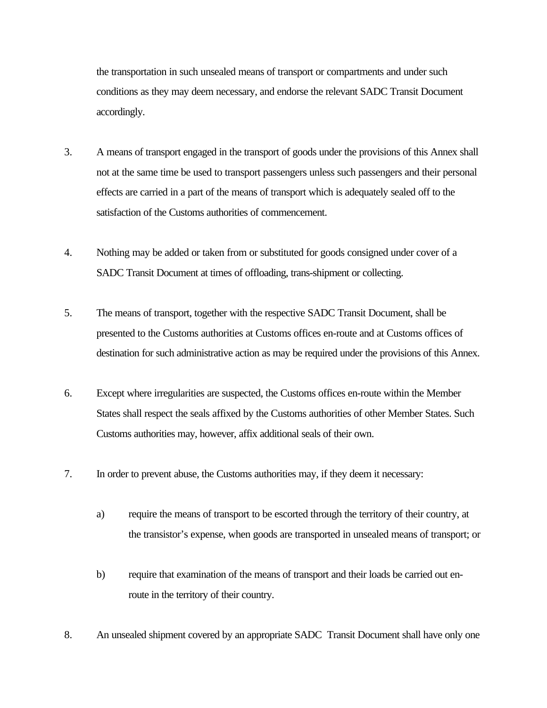the transportation in such unsealed means of transport or compartments and under such conditions as they may deem necessary, and endorse the relevant SADC Transit Document accordingly.

- 3. A means of transport engaged in the transport of goods under the provisions of this Annex shall not at the same time be used to transport passengers unless such passengers and their personal effects are carried in a part of the means of transport which is adequately sealed off to the satisfaction of the Customs authorities of commencement.
- 4. Nothing may be added or taken from or substituted for goods consigned under cover of a SADC Transit Document at times of offloading, trans-shipment or collecting.
- 5. The means of transport, together with the respective SADC Transit Document, shall be presented to the Customs authorities at Customs offices en-route and at Customs offices of destination for such administrative action as may be required under the provisions of this Annex.
- 6. Except where irregularities are suspected, the Customs offices en-route within the Member States shall respect the seals affixed by the Customs authorities of other Member States. Such Customs authorities may, however, affix additional seals of their own.
- 7. In order to prevent abuse, the Customs authorities may, if they deem it necessary:
	- a) require the means of transport to be escorted through the territory of their country, at the transistor's expense, when goods are transported in unsealed means of transport; or
	- b) require that examination of the means of transport and their loads be carried out enroute in the territory of their country.
- 8. An unsealed shipment covered by an appropriate SADC Transit Document shall have only one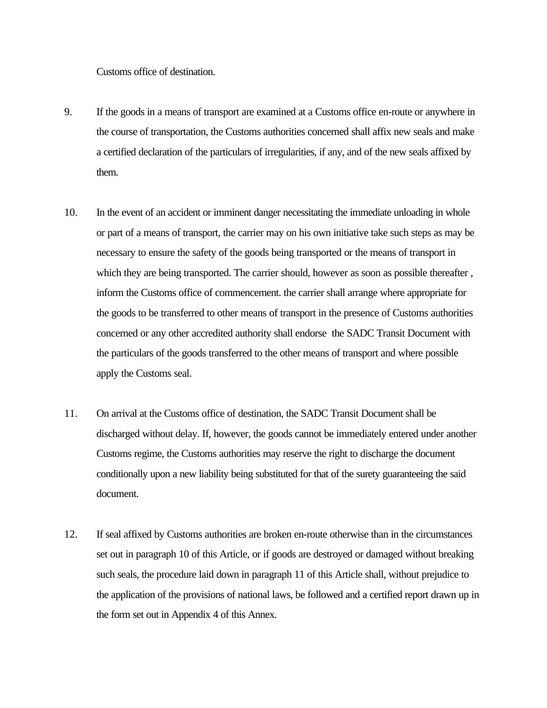Customs office of destination.

- 9. If the goods in a means of transport are examined at a Customs office en-route or anywhere in the course of transportation, the Customs authorities concerned shall affix new seals and make a certified declaration of the particulars of irregularities, if any, and of the new seals affixed by them.
- 10. In the event of an accident or imminent danger necessitating the immediate unloading in whole or part of a means of transport, the carrier may on his own initiative take such steps as may be necessary to ensure the safety of the goods being transported or the means of transport in which they are being transported. The carrier should, however as soon as possible thereafter, inform the Customs office of commencement. the carrier shall arrange where appropriate for the goods to be transferred to other means of transport in the presence of Customs authorities concerned or any other accredited authority shall endorse the SADC Transit Document with the particulars of the goods transferred to the other means of transport and where possible apply the Customs seal.
- 11. On arrival at the Customs office of destination, the SADC Transit Document shall be discharged without delay. If, however, the goods cannot be immediately entered under another Customs regime, the Customs authorities may reserve the right to discharge the document conditionally upon a new liability being substituted for that of the surety guaranteeing the said document.
- 12. If seal affixed by Customs authorities are broken en-route otherwise than in the circumstances set out in paragraph 10 of this Article, or if goods are destroyed or damaged without breaking such seals, the procedure laid down in paragraph 11 of this Article shall, without prejudice to the application of the provisions of national laws, be followed and a certified report drawn up in the form set out in Appendix 4 of this Annex.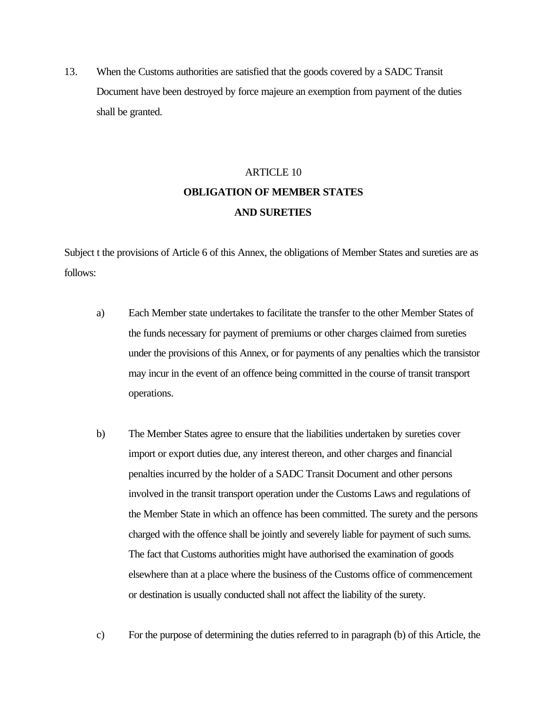13. When the Customs authorities are satisfied that the goods covered by a SADC Transit Document have been destroyed by force majeure an exemption from payment of the duties shall be granted.

# ARTICLE 10 **OBLIGATION OF MEMBER STATES AND SURETIES**

Subject t the provisions of Article 6 of this Annex, the obligations of Member States and sureties are as follows:

- a) Each Member state undertakes to facilitate the transfer to the other Member States of the funds necessary for payment of premiums or other charges claimed from sureties under the provisions of this Annex, or for payments of any penalties which the transistor may incur in the event of an offence being committed in the course of transit transport operations.
- b) The Member States agree to ensure that the liabilities undertaken by sureties cover import or export duties due, any interest thereon, and other charges and financial penalties incurred by the holder of a SADC Transit Document and other persons involved in the transit transport operation under the Customs Laws and regulations of the Member State in which an offence has been committed. The surety and the persons charged with the offence shall be jointly and severely liable for payment of such sums. The fact that Customs authorities might have authorised the examination of goods elsewhere than at a place where the business of the Customs office of commencement or destination is usually conducted shall not affect the liability of the surety.
- c) For the purpose of determining the duties referred to in paragraph (b) of this Article, the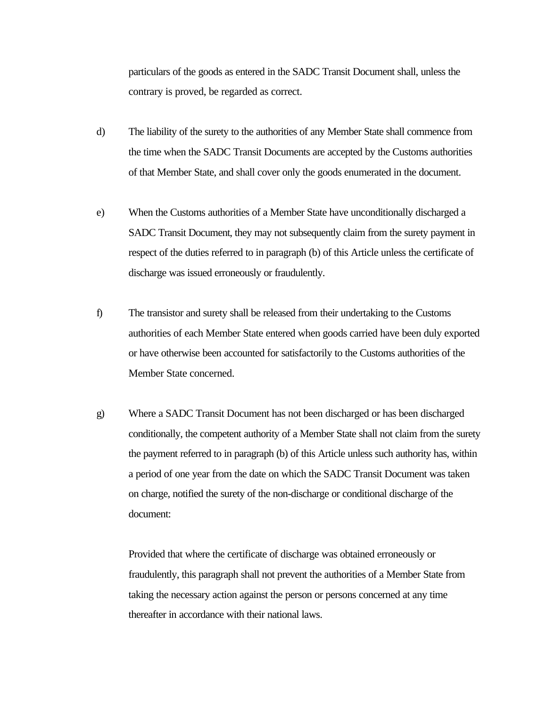particulars of the goods as entered in the SADC Transit Document shall, unless the contrary is proved, be regarded as correct.

- d) The liability of the surety to the authorities of any Member State shall commence from the time when the SADC Transit Documents are accepted by the Customs authorities of that Member State, and shall cover only the goods enumerated in the document.
- e) When the Customs authorities of a Member State have unconditionally discharged a SADC Transit Document, they may not subsequently claim from the surety payment in respect of the duties referred to in paragraph (b) of this Article unless the certificate of discharge was issued erroneously or fraudulently.
- f) The transistor and surety shall be released from their undertaking to the Customs authorities of each Member State entered when goods carried have been duly exported or have otherwise been accounted for satisfactorily to the Customs authorities of the Member State concerned.
- g) Where a SADC Transit Document has not been discharged or has been discharged conditionally, the competent authority of a Member State shall not claim from the surety the payment referred to in paragraph (b) of this Article unless such authority has, within a period of one year from the date on which the SADC Transit Document was taken on charge, notified the surety of the non-discharge or conditional discharge of the document:

Provided that where the certificate of discharge was obtained erroneously or fraudulently, this paragraph shall not prevent the authorities of a Member State from taking the necessary action against the person or persons concerned at any time thereafter in accordance with their national laws.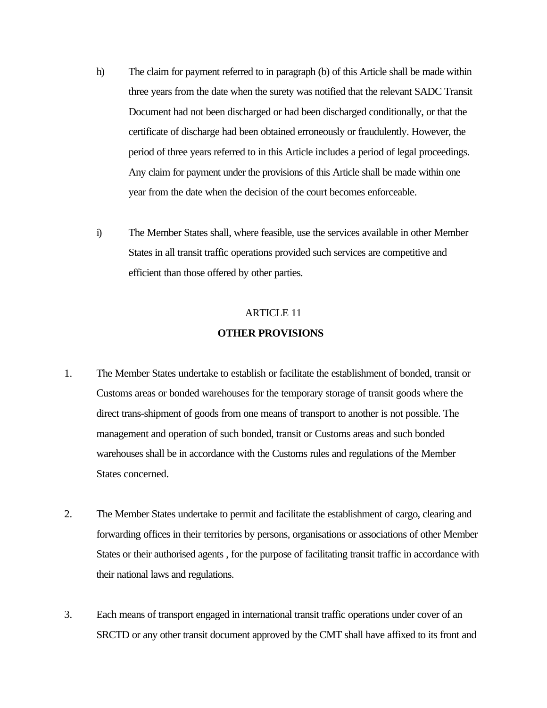- h) The claim for payment referred to in paragraph (b) of this Article shall be made within three years from the date when the surety was notified that the relevant SADC Transit Document had not been discharged or had been discharged conditionally, or that the certificate of discharge had been obtained erroneously or fraudulently. However, the period of three years referred to in this Article includes a period of legal proceedings. Any claim for payment under the provisions of this Article shall be made within one year from the date when the decision of the court becomes enforceable.
- i) The Member States shall, where feasible, use the services available in other Member States in all transit traffic operations provided such services are competitive and efficient than those offered by other parties.

## **OTHER PROVISIONS**  ARTICLE 11

- 1. The Member States undertake to establish or facilitate the establishment of bonded, transit or Customs areas or bonded warehouses for the temporary storage of transit goods where the direct trans-shipment of goods from one means of transport to another is not possible. The management and operation of such bonded, transit or Customs areas and such bonded warehouses shall be in accordance with the Customs rules and regulations of the Member States concerned.
- 2. The Member States undertake to permit and facilitate the establishment of cargo, clearing and forwarding offices in their territories by persons, organisations or associations of other Member States or their authorised agents , for the purpose of facilitating transit traffic in accordance with their national laws and regulations.
- 3. Each means of transport engaged in international transit traffic operations under cover of an SRCTD or any other transit document approved by the CMT shall have affixed to its front and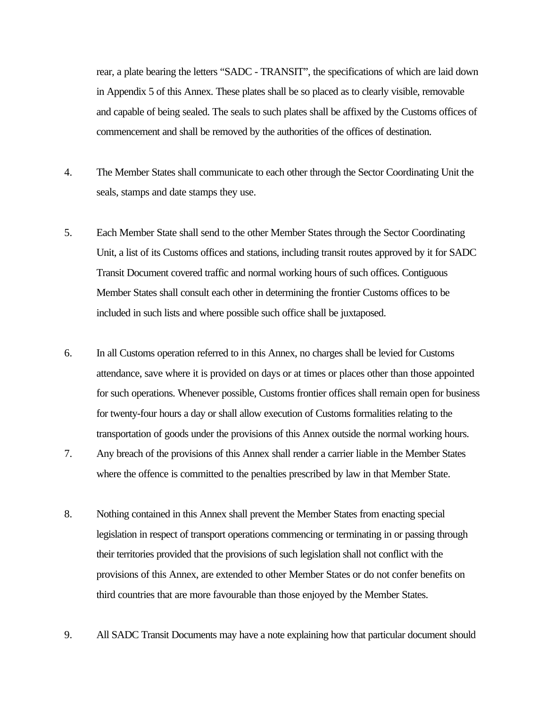rear, a plate bearing the letters "SADC - TRANSIT", the specifications of which are laid down in Appendix 5 of this Annex. These plates shall be so placed as to clearly visible, removable and capable of being sealed. The seals to such plates shall be affixed by the Customs offices of commencement and shall be removed by the authorities of the offices of destination.

- 4. The Member States shall communicate to each other through the Sector Coordinating Unit the seals, stamps and date stamps they use.
- 5. Each Member State shall send to the other Member States through the Sector Coordinating Unit, a list of its Customs offices and stations, including transit routes approved by it for SADC Transit Document covered traffic and normal working hours of such offices. Contiguous Member States shall consult each other in determining the frontier Customs offices to be included in such lists and where possible such office shall be juxtaposed.
- 6. In all Customs operation referred to in this Annex, no charges shall be levied for Customs attendance, save where it is provided on days or at times or places other than those appointed for such operations. Whenever possible, Customs frontier offices shall remain open for business for twenty-four hours a day or shall allow execution of Customs formalities relating to the transportation of goods under the provisions of this Annex outside the normal working hours.
- 7. Any breach of the provisions of this Annex shall render a carrier liable in the Member States where the offence is committed to the penalties prescribed by law in that Member State.
- 8. Nothing contained in this Annex shall prevent the Member States from enacting special legislation in respect of transport operations commencing or terminating in or passing through their territories provided that the provisions of such legislation shall not conflict with the provisions of this Annex, are extended to other Member States or do not confer benefits on third countries that are more favourable than those enjoyed by the Member States.
- 9. All SADC Transit Documents may have a note explaining how that particular document should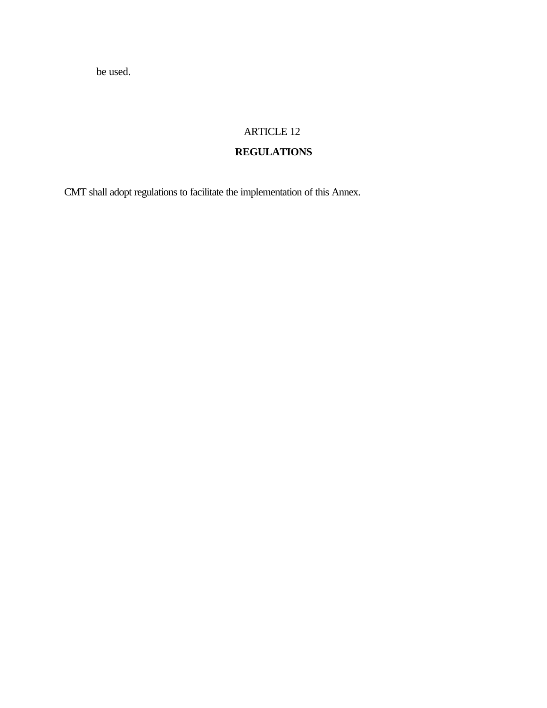be used.

## ARTICLE 12

## **REGULATIONS**

CMT shall adopt regulations to facilitate the implementation of this Annex.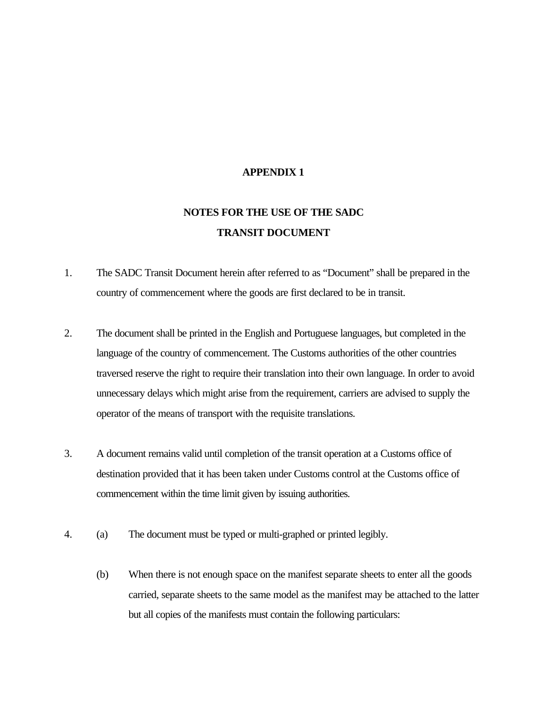### **APPENDIX 1**

# **NOTES FOR THE USE OF THE SADC TRANSIT DOCUMENT**

- 1. The SADC Transit Document herein after referred to as "Document" shall be prepared in the country of commencement where the goods are first declared to be in transit.
- 2. The document shall be printed in the English and Portuguese languages, but completed in the language of the country of commencement. The Customs authorities of the other countries traversed reserve the right to require their translation into their own language. In order to avoid unnecessary delays which might arise from the requirement, carriers are advised to supply the operator of the means of transport with the requisite translations.
- 3. A document remains valid until completion of the transit operation at a Customs office of destination provided that it has been taken under Customs control at the Customs office of commencement within the time limit given by issuing authorities.
- 4. (a) The document must be typed or multi-graphed or printed legibly.
	- (b) When there is not enough space on the manifest separate sheets to enter all the goods carried, separate sheets to the same model as the manifest may be attached to the latter but all copies of the manifests must contain the following particulars: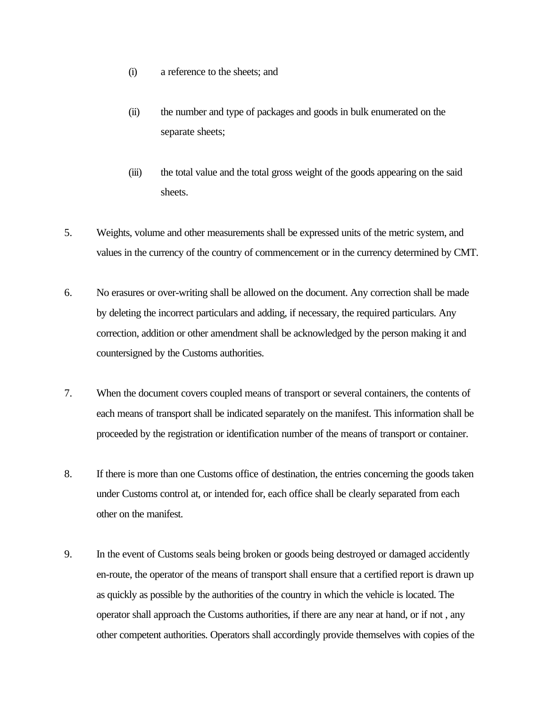- (i) a reference to the sheets; and
- (ii) the number and type of packages and goods in bulk enumerated on the separate sheets;
- (iii) the total value and the total gross weight of the goods appearing on the said sheets.
- 5. Weights, volume and other measurements shall be expressed units of the metric system, and values in the currency of the country of commencement or in the currency determined by CMT.
- 6. No erasures or over-writing shall be allowed on the document. Any correction shall be made by deleting the incorrect particulars and adding, if necessary, the required particulars. Any correction, addition or other amendment shall be acknowledged by the person making it and countersigned by the Customs authorities.
- 7. When the document covers coupled means of transport or several containers, the contents of each means of transport shall be indicated separately on the manifest. This information shall be proceeded by the registration or identification number of the means of transport or container.
- 8. If there is more than one Customs office of destination, the entries concerning the goods taken under Customs control at, or intended for, each office shall be clearly separated from each other on the manifest.
- 9. In the event of Customs seals being broken or goods being destroyed or damaged accidently en-route, the operator of the means of transport shall ensure that a certified report is drawn up as quickly as possible by the authorities of the country in which the vehicle is located. The operator shall approach the Customs authorities, if there are any near at hand, or if not , any other competent authorities. Operators shall accordingly provide themselves with copies of the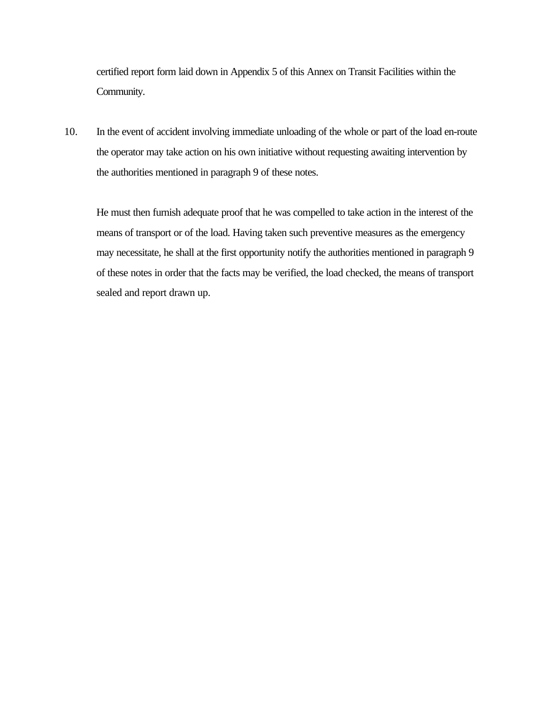certified report form laid down in Appendix 5 of this Annex on Transit Facilities within the Community.

10. In the event of accident involving immediate unloading of the whole or part of the load en-route the operator may take action on his own initiative without requesting awaiting intervention by the authorities mentioned in paragraph 9 of these notes.

He must then furnish adequate proof that he was compelled to take action in the interest of the means of transport or of the load. Having taken such preventive measures as the emergency may necessitate, he shall at the first opportunity notify the authorities mentioned in paragraph 9 of these notes in order that the facts may be verified, the load checked, the means of transport sealed and report drawn up.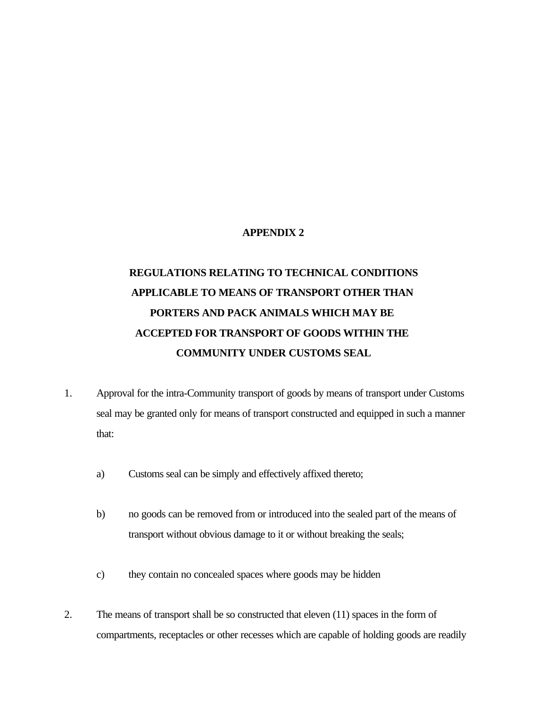#### **APPENDIX 2**

# **REGULATIONS RELATING TO TECHNICAL CONDITIONS APPLICABLE TO MEANS OF TRANSPORT OTHER THAN PORTERS AND PACK ANIMALS WHICH MAY BE ACCEPTED FOR TRANSPORT OF GOODS WITHIN THE COMMUNITY UNDER CUSTOMS SEAL**

- 1. Approval for the intra-Community transport of goods by means of transport under Customs seal may be granted only for means of transport constructed and equipped in such a manner that:
	- a) Customs seal can be simply and effectively affixed thereto;
	- b) no goods can be removed from or introduced into the sealed part of the means of transport without obvious damage to it or without breaking the seals;
	- c) they contain no concealed spaces where goods may be hidden
- 2. The means of transport shall be so constructed that eleven (11) spaces in the form of compartments, receptacles or other recesses which are capable of holding goods are readily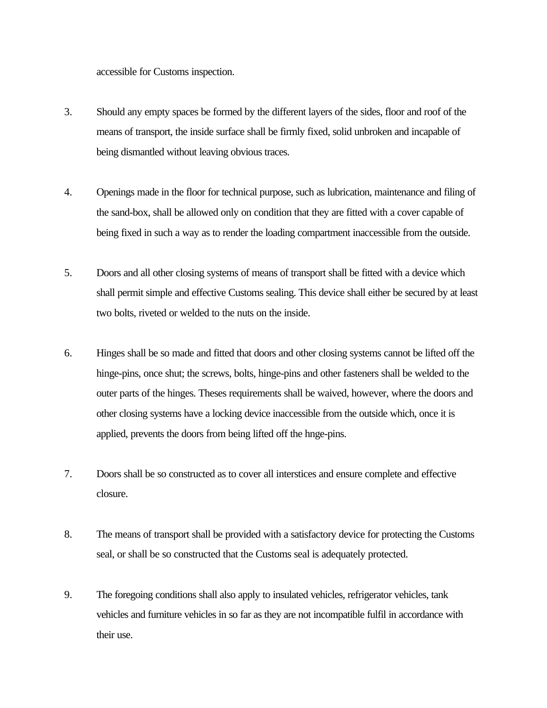accessible for Customs inspection.

- 3. Should any empty spaces be formed by the different layers of the sides, floor and roof of the means of transport, the inside surface shall be firmly fixed, solid unbroken and incapable of being dismantled without leaving obvious traces.
- 4. Openings made in the floor for technical purpose, such as lubrication, maintenance and filing of the sand-box, shall be allowed only on condition that they are fitted with a cover capable of being fixed in such a way as to render the loading compartment inaccessible from the outside.
- 5. Doors and all other closing systems of means of transport shall be fitted with a device which shall permit simple and effective Customs sealing. This device shall either be secured by at least two bolts, riveted or welded to the nuts on the inside.
- 6. Hinges shall be so made and fitted that doors and other closing systems cannot be lifted off the hinge-pins, once shut; the screws, bolts, hinge-pins and other fasteners shall be welded to the outer parts of the hinges. Theses requirements shall be waived, however, where the doors and other closing systems have a locking device inaccessible from the outside which, once it is applied, prevents the doors from being lifted off the hnge-pins.
- 7. Doors shall be so constructed as to cover all interstices and ensure complete and effective closure.
- 8. The means of transport shall be provided with a satisfactory device for protecting the Customs seal, or shall be so constructed that the Customs seal is adequately protected.
- 9. The foregoing conditions shall also apply to insulated vehicles, refrigerator vehicles, tank vehicles and furniture vehicles in so far as they are not incompatible fulfil in accordance with their use.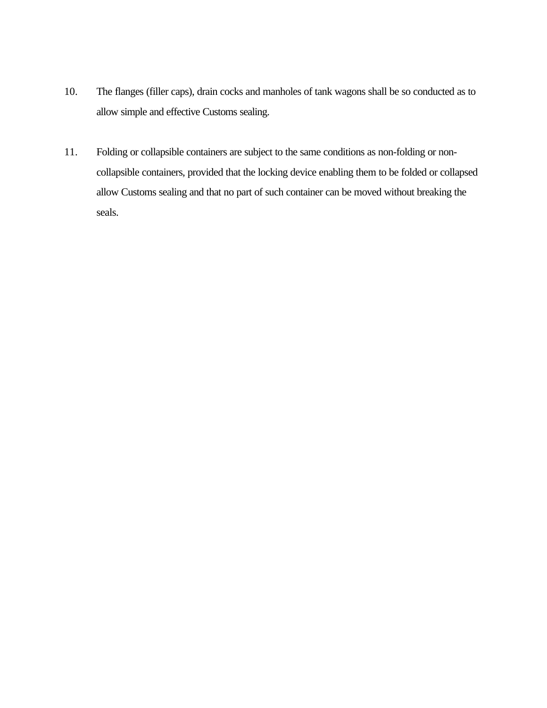- 10. The flanges (filler caps), drain cocks and manholes of tank wagons shall be so conducted as to allow simple and effective Customs sealing.
- 11. Folding or collapsible containers are subject to the same conditions as non-folding or noncollapsible containers, provided that the locking device enabling them to be folded or collapsed allow Customs sealing and that no part of such container can be moved without breaking the seals.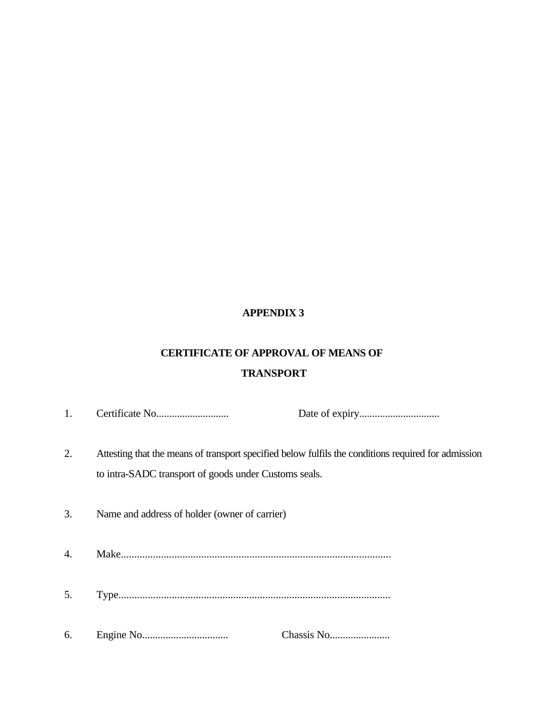## **APPENDIX 3**

# **CERTIFICATE OF APPROVAL OF MEANS OF TRANSPORT**

| 1. |                                                       |                                                                                                     |
|----|-------------------------------------------------------|-----------------------------------------------------------------------------------------------------|
| 2. | to intra-SADC transport of goods under Customs seals. | Attesting that the means of transport specified below fulfils the conditions required for admission |
| 3. | Name and address of holder (owner of carrier)         |                                                                                                     |
| 4. |                                                       |                                                                                                     |
| 5. |                                                       |                                                                                                     |
| 6. |                                                       |                                                                                                     |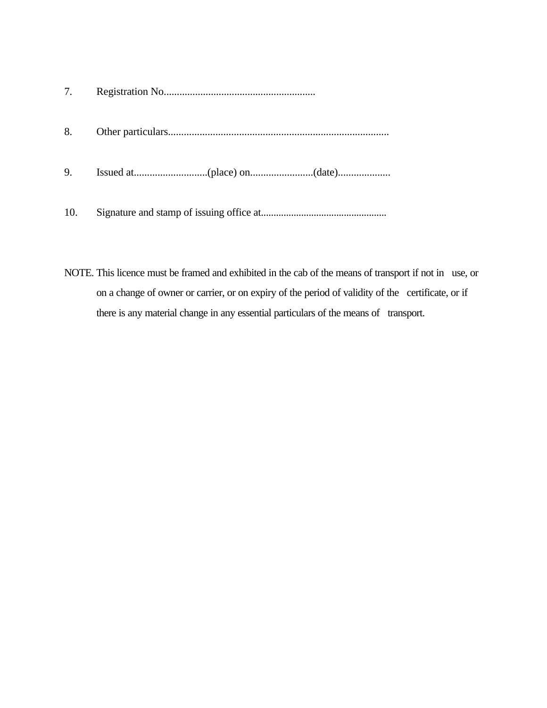| 7.  |  |
|-----|--|
| 8.  |  |
| 9.  |  |
| 10. |  |

NOTE. This licence must be framed and exhibited in the cab of the means of transport if not in use, or on a change of owner or carrier, or on expiry of the period of validity of the certificate, or if there is any material change in any essential particulars of the means of transport.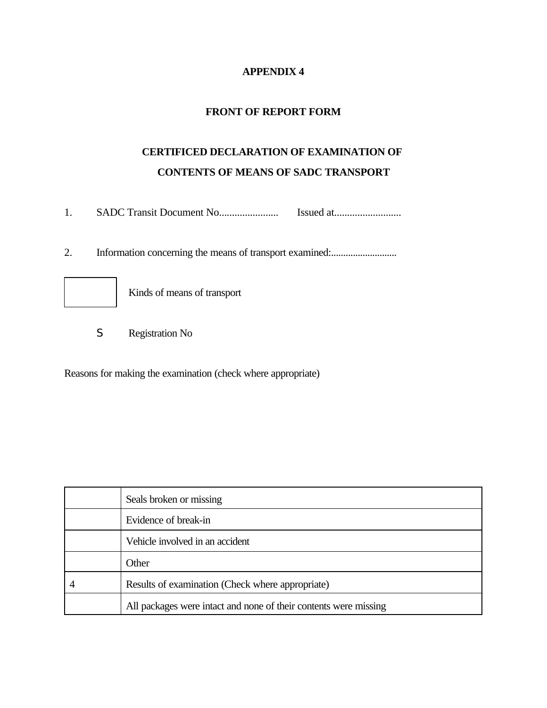## **APPENDIX 4**

## **FRONT OF REPORT FORM**

# **CERTIFICED DECLARATION OF EXAMINATION OF CONTENTS OF MEANS OF SADC TRANSPORT**

1. SADC Transit Document No....................... Issued at..........................

2. Information concerning the means of transport examined:.............................



Kinds of means of transport

S Registration No

Reasons for making the examination (check where appropriate)

| Seals broken or missing                                          |  |
|------------------------------------------------------------------|--|
| Evidence of break-in                                             |  |
| Vehicle involved in an accident                                  |  |
| Other                                                            |  |
| Results of examination (Check where appropriate)                 |  |
| All packages were intact and none of their contents were missing |  |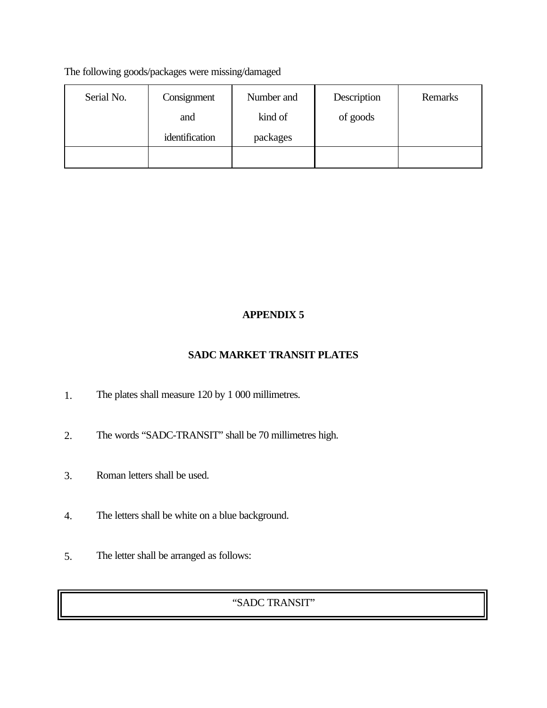The following goods/packages were missing/damaged

| Serial No. | Consignment    | Number and | Description | Remarks |
|------------|----------------|------------|-------------|---------|
|            | and            | kind of    | of goods    |         |
|            | identification | packages   |             |         |
|            |                |            |             |         |

## **APPENDIX 5**

## **SADC MARKET TRANSIT PLATES**

- 1. The plates shall measure 120 by 1 000 millimetres.
- 2. The words "SADC-TRANSIT" shall be 70 millimetres high.
- 3. Roman letters shall be used.
- 4. The letters shall be white on a blue background.
- 5. The letter shall be arranged as follows:

## "SADC TRANSIT"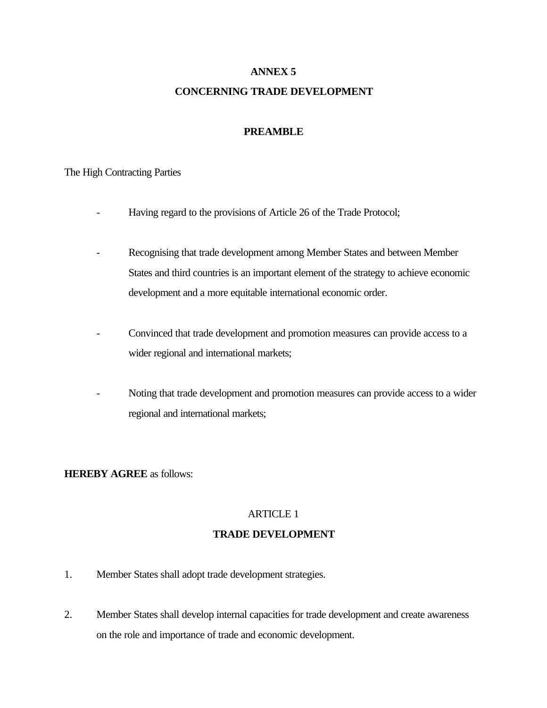## **ANNEX 5**

## **CONCERNING TRADE DEVELOPMENT**

## **PREAMBLE**

### The High Contracting Parties

- Having regard to the provisions of Article 26 of the Trade Protocol;
- Recognising that trade development among Member States and between Member States and third countries is an important element of the strategy to achieve economic development and a more equitable international economic order.
- Convinced that trade development and promotion measures can provide access to a wider regional and international markets;
- Noting that trade development and promotion measures can provide access to a wider regional and international markets;

### **HEREBY AGREE** as follows:

## ARTICLE 1 **TRADE DEVELOPMENT**

- 1. Member States shall adopt trade development strategies.
- 2. Member States shall develop internal capacities for trade development and create awareness on the role and importance of trade and economic development.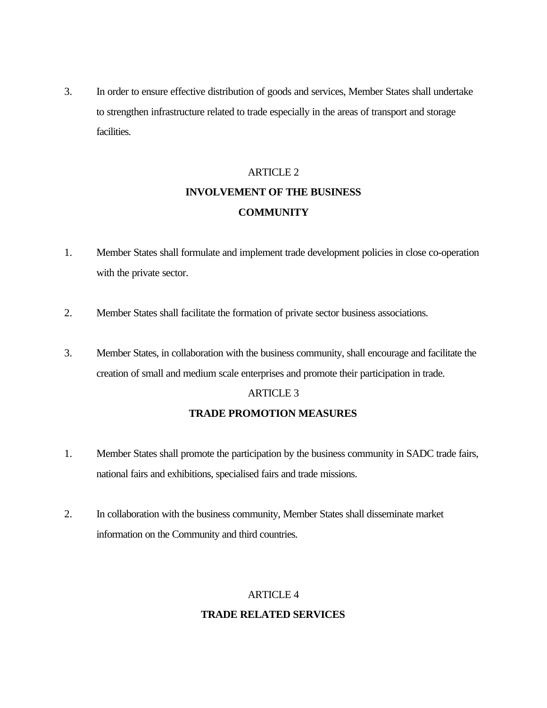3. In order to ensure effective distribution of goods and services, Member States shall undertake to strengthen infrastructure related to trade especially in the areas of transport and storage facilities.

# ARTICLE 2 **INVOLVEMENT OF THE BUSINESS COMMUNITY**

- 1. Member States shall formulate and implement trade development policies in close co-operation with the private sector.
- 2. Member States shall facilitate the formation of private sector business associations.
- 3. Member States, in collaboration with the business community, shall encourage and facilitate the creation of small and medium scale enterprises and promote their participation in trade.

#### ARTICLE 3

### **TRADE PROMOTION MEASURES**

- 1. Member States shall promote the participation by the business community in SADC trade fairs, national fairs and exhibitions, specialised fairs and trade missions.
- 2. In collaboration with the business community, Member States shall disseminate market information on the Community and third countries.

## ARTICLE 4

### **TRADE RELATED SERVICES**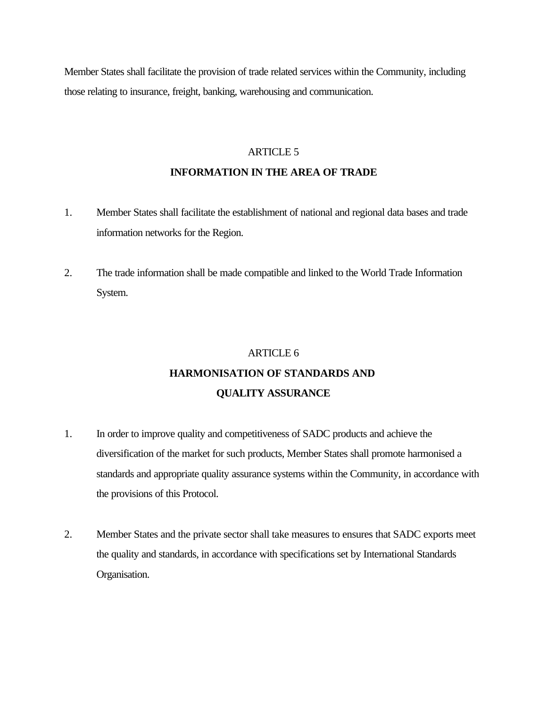Member States shall facilitate the provision of trade related services within the Community, including those relating to insurance, freight, banking, warehousing and communication.

#### ARTICLE 5

### **INFORMATION IN THE AREA OF TRADE**

- 1. Member States shall facilitate the establishment of national and regional data bases and trade information networks for the Region.
- 2. The trade information shall be made compatible and linked to the World Trade Information System.

# ARTICLE 6 **HARMONISATION OF STANDARDS AND QUALITY ASSURANCE**

- 1. In order to improve quality and competitiveness of SADC products and achieve the diversification of the market for such products, Member States shall promote harmonised a standards and appropriate quality assurance systems within the Community, in accordance with the provisions of this Protocol.
- 2. Member States and the private sector shall take measures to ensures that SADC exports meet the quality and standards, in accordance with specifications set by International Standards Organisation.